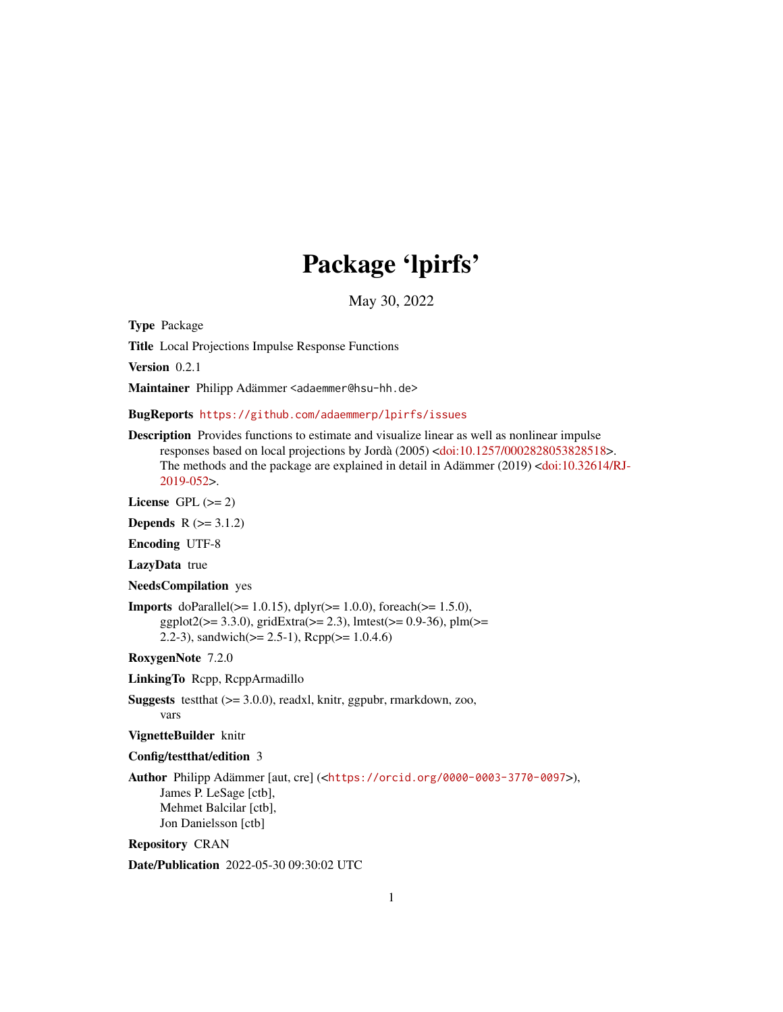# Package 'lpirfs'

May 30, 2022

<span id="page-0-0"></span>Type Package

Title Local Projections Impulse Response Functions

Version 0.2.1

Maintainer Philipp Adämmer <adaemmer@hsu-hh.de>

BugReports <https://github.com/adaemmerp/lpirfs/issues>

Description Provides functions to estimate and visualize linear as well as nonlinear impulse responses based on local projections by Jordà (2005) [<doi:10.1257/0002828053828518>](https://doi.org/10.1257/0002828053828518). The methods and the package are explained in detail in Adämmer (2019) [<doi:10.32614/RJ-](https://doi.org/10.32614/RJ-2019-052)[2019-052>](https://doi.org/10.32614/RJ-2019-052).

License GPL  $(>= 2)$ 

**Depends**  $R (= 3.1.2)$ 

Encoding UTF-8

LazyData true

NeedsCompilation yes

**Imports** doParallel( $> = 1.0.15$ ), dplyr( $> = 1.0.0$ ), foreach( $> = 1.5.0$ ),  $ggplot2(>= 3.3.0)$ ,  $gridExtra(>= 2.3)$ ,  $lmtest(>= 0.9-36)$ ,  $plm(>=$ 2.2-3), sandwich( $>= 2.5-1$ ), Rcpp( $>= 1.0.4.6$ )

RoxygenNote 7.2.0

LinkingTo Rcpp, RcppArmadillo

Suggests testthat (>= 3.0.0), readxl, knitr, ggpubr, rmarkdown, zoo, vars

VignetteBuilder knitr

### Config/testthat/edition 3

Author Philipp Adämmer [aut, cre] (<<https://orcid.org/0000-0003-3770-0097>>), James P. LeSage [ctb], Mehmet Balcilar [ctb], Jon Danielsson [ctb]

Repository CRAN

Date/Publication 2022-05-30 09:30:02 UTC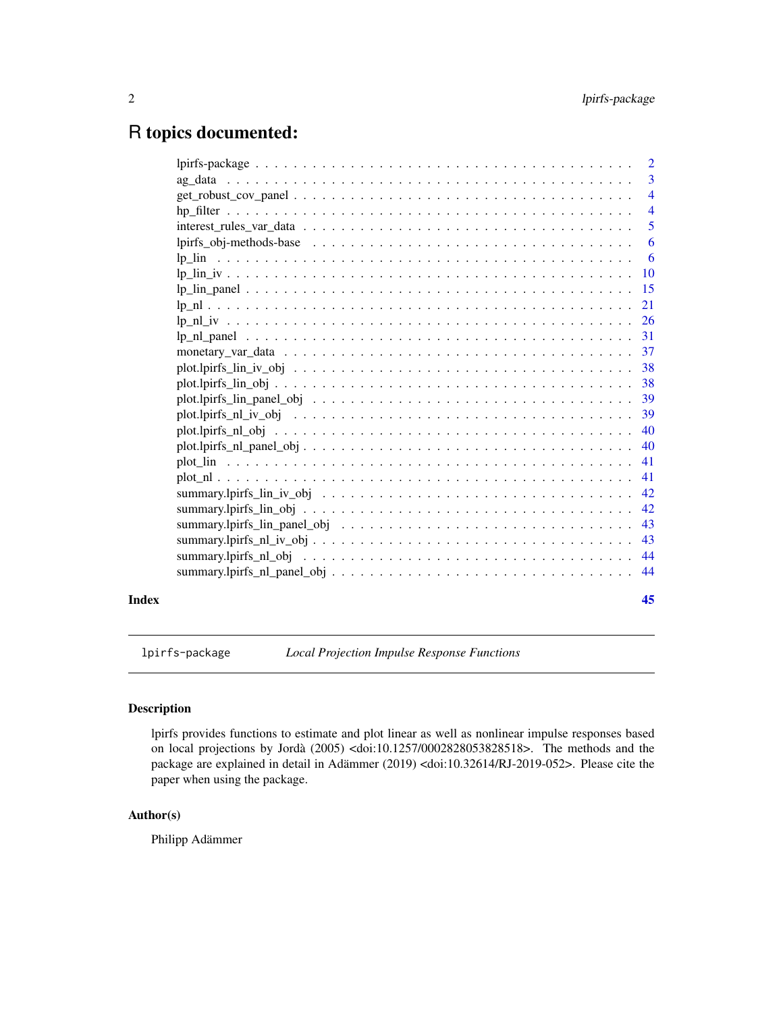## <span id="page-1-0"></span>R topics documented:

|       |                                                                                                                  | $\overline{2}$ |
|-------|------------------------------------------------------------------------------------------------------------------|----------------|
|       |                                                                                                                  | $\overline{3}$ |
|       |                                                                                                                  | $\overline{4}$ |
|       |                                                                                                                  | $\overline{4}$ |
|       |                                                                                                                  | 5              |
|       |                                                                                                                  | $6^{\circ}$    |
|       |                                                                                                                  |                |
|       |                                                                                                                  |                |
|       |                                                                                                                  |                |
|       |                                                                                                                  |                |
|       |                                                                                                                  |                |
|       |                                                                                                                  | 31             |
|       |                                                                                                                  |                |
|       |                                                                                                                  |                |
|       |                                                                                                                  |                |
|       |                                                                                                                  |                |
|       |                                                                                                                  |                |
|       |                                                                                                                  | 40             |
|       | $plot.lpirfs_l_l_pane_l_obj \ldots \ldots \ldots \ldots \ldots \ldots \ldots \ldots \ldots \ldots \ldots \ldots$ | 40             |
|       |                                                                                                                  | 41             |
|       |                                                                                                                  | 41             |
|       |                                                                                                                  |                |
|       |                                                                                                                  | 42             |
|       |                                                                                                                  | 43             |
|       |                                                                                                                  |                |
|       |                                                                                                                  |                |
|       |                                                                                                                  |                |
| Index |                                                                                                                  | 45             |

lpirfs-package *Local Projection Impulse Response Functions*

### Description

lpirfs provides functions to estimate and plot linear as well as nonlinear impulse responses based on local projections by Jordà (2005) <doi:10.1257/0002828053828518>. The methods and the package are explained in detail in Adämmer (2019) <doi:10.32614/RJ-2019-052>. Please cite the paper when using the package.

### Author(s)

Philipp Adämmer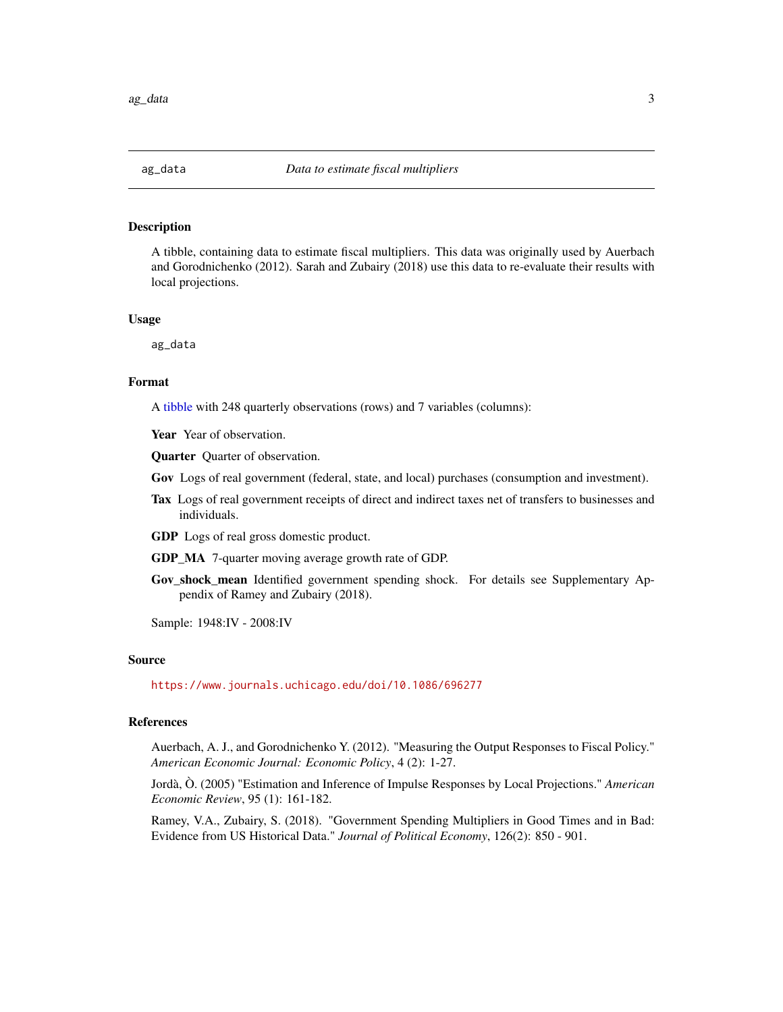### <span id="page-2-0"></span>Description

A tibble, containing data to estimate fiscal multipliers. This data was originally used by Auerbach and Gorodnichenko (2012). Sarah and Zubairy (2018) use this data to re-evaluate their results with local projections.

#### Usage

ag\_data

### Format

A [tibble](#page-0-0) with 248 quarterly observations (rows) and 7 variables (columns):

Year Year of observation.

Quarter Quarter of observation.

Gov Logs of real government (federal, state, and local) purchases (consumption and investment).

Tax Logs of real government receipts of direct and indirect taxes net of transfers to businesses and individuals.

GDP Logs of real gross domestic product.

- GDP\_MA 7-quarter moving average growth rate of GDP.
- Gov\_shock\_mean Identified government spending shock. For details see Supplementary Appendix of Ramey and Zubairy (2018).

Sample: 1948:IV - 2008:IV

### Source

<https://www.journals.uchicago.edu/doi/10.1086/696277>

### References

Auerbach, A. J., and Gorodnichenko Y. (2012). "Measuring the Output Responses to Fiscal Policy." *American Economic Journal: Economic Policy*, 4 (2): 1-27.

Jordà, Ò. (2005) "Estimation and Inference of Impulse Responses by Local Projections." *American Economic Review*, 95 (1): 161-182.

Ramey, V.A., Zubairy, S. (2018). "Government Spending Multipliers in Good Times and in Bad: Evidence from US Historical Data." *Journal of Political Economy*, 126(2): 850 - 901.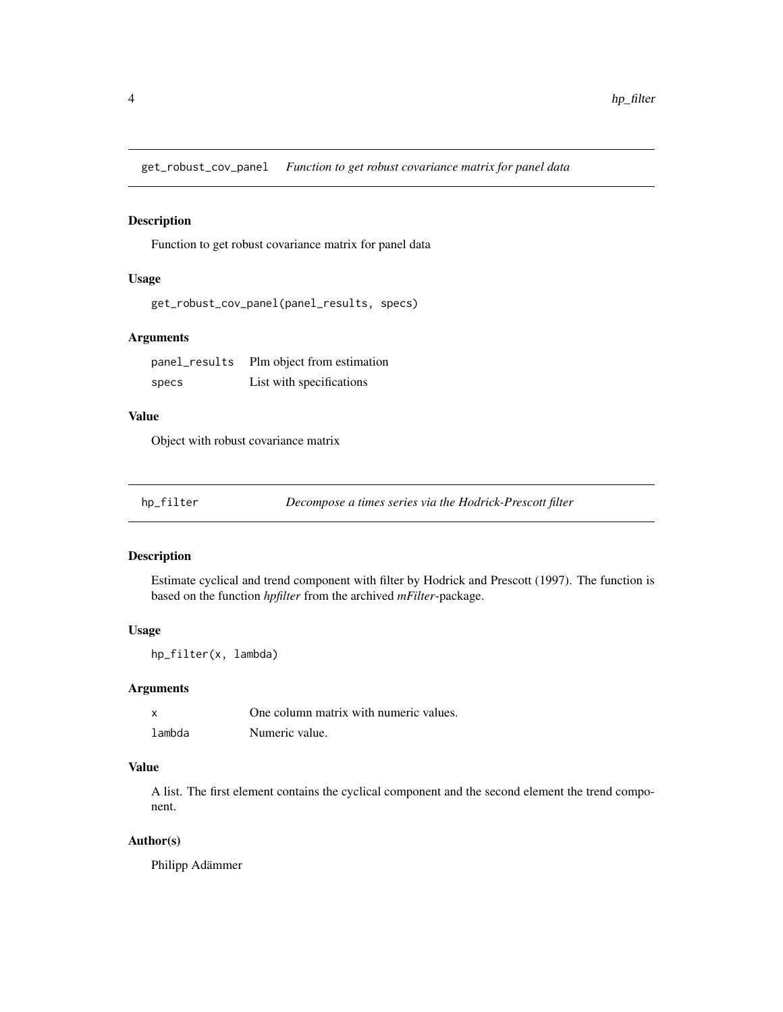<span id="page-3-0"></span>get\_robust\_cov\_panel *Function to get robust covariance matrix for panel data*

### Description

Function to get robust covariance matrix for panel data

### Usage

```
get_robust_cov_panel(panel_results, specs)
```
### Arguments

| panel_results | Plm object from estimation |
|---------------|----------------------------|
| specs         | List with specifications   |

### Value

Object with robust covariance matrix

|  |  |  | hp_filter |
|--|--|--|-----------|
|  |  |  |           |

Decompose a times series via the Hodrick-Prescott filter

### Description

Estimate cyclical and trend component with filter by Hodrick and Prescott (1997). The function is based on the function *hpfilter* from the archived *mFilter*-package.

### Usage

hp\_filter(x, lambda)

### Arguments

| $\boldsymbol{\mathsf{x}}$ | One column matrix with numeric values. |
|---------------------------|----------------------------------------|
| lambda                    | Numeric value.                         |

### Value

A list. The first element contains the cyclical component and the second element the trend component.

### Author(s)

Philipp Adämmer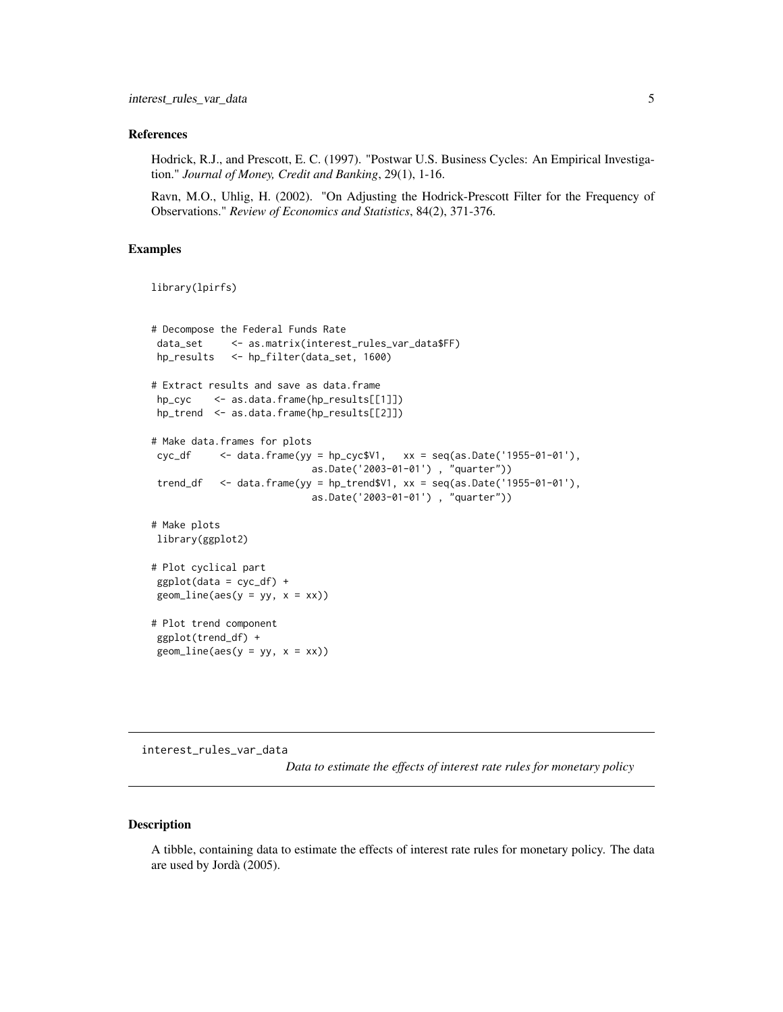### <span id="page-4-0"></span>References

Hodrick, R.J., and Prescott, E. C. (1997). "Postwar U.S. Business Cycles: An Empirical Investigation." *Journal of Money, Credit and Banking*, 29(1), 1-16.

Ravn, M.O., Uhlig, H. (2002). "On Adjusting the Hodrick-Prescott Filter for the Frequency of Observations." *Review of Economics and Statistics*, 84(2), 371-376.

### Examples

```
library(lpirfs)
```

```
# Decompose the Federal Funds Rate
data_set <- as.matrix(interest_rules_var_data$FF)
hp_results <- hp_filter(data_set, 1600)
# Extract results and save as data.frame
hp_cyc <- as.data.frame(hp_results[[1]])
hp_trend <- as.data.frame(hp_results[[2]])
# Make data.frames for plots
cyc_df \leq data.frame(yy = hp_cyc$V1, xx = \text{seq(as.Date('1955-01-01')},as.Date('2003-01-01') , "quarter"))
trend_df <- data.frame(yy = hp_trend$V1, xx = seq(as.Date('1955-01-01'),
                           as.Date('2003-01-01') , "quarter"))
# Make plots
library(ggplot2)
# Plot cyclical part
ggplot(data = cyc_df) +
geom\_line(</) = yy, x = xx))# Plot trend component
ggplot(trend_df) +
geom\_line(aes(y = yy, x = xx))
```
interest\_rules\_var\_data

*Data to estimate the effects of interest rate rules for monetary policy*

### Description

A tibble, containing data to estimate the effects of interest rate rules for monetary policy. The data are used by Jordà (2005).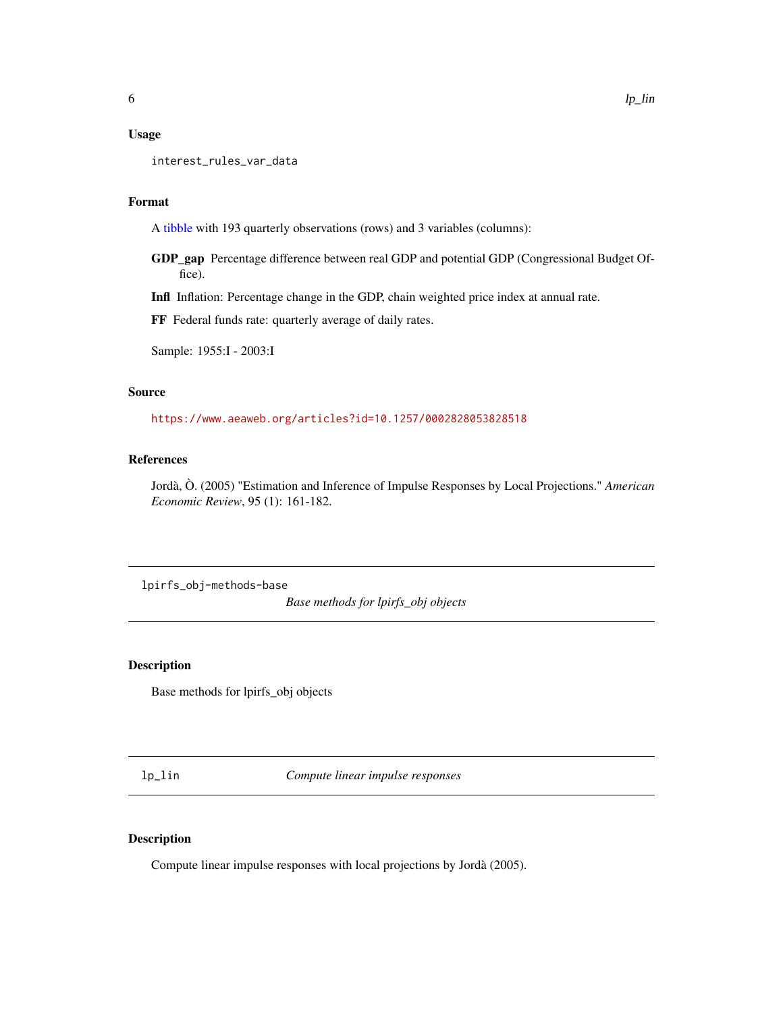### <span id="page-5-0"></span>Usage

interest\_rules\_var\_data

### Format

A [tibble](#page-0-0) with 193 quarterly observations (rows) and 3 variables (columns):

GDP\_gap Percentage difference between real GDP and potential GDP (Congressional Budget Office).

Infl Inflation: Percentage change in the GDP, chain weighted price index at annual rate.

FF Federal funds rate: quarterly average of daily rates.

Sample: 1955:I - 2003:I

### Source

<https://www.aeaweb.org/articles?id=10.1257/0002828053828518>

### References

Jordà, Ò. (2005) "Estimation and Inference of Impulse Responses by Local Projections." *American Economic Review*, 95 (1): 161-182.

lpirfs\_obj-methods-base

*Base methods for lpirfs\_obj objects*

### Description

Base methods for lpirfs\_obj objects

<span id="page-5-1"></span>lp\_lin *Compute linear impulse responses*

### Description

Compute linear impulse responses with local projections by Jordà (2005).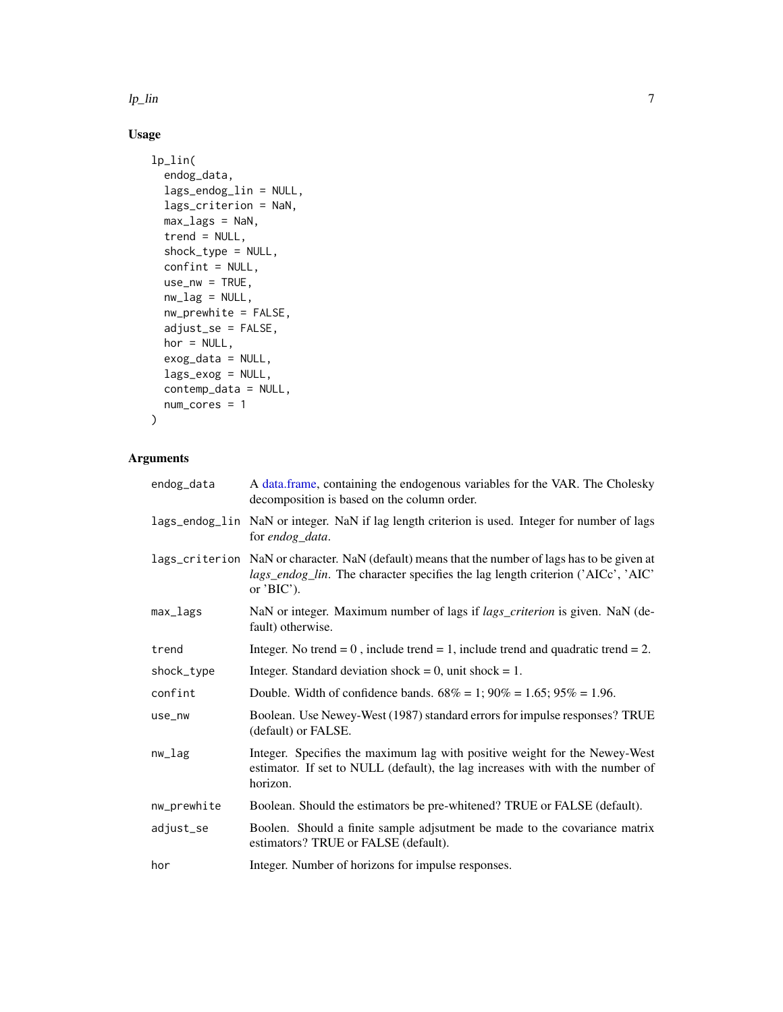<span id="page-6-0"></span> $l$ p\_lin  $\overline{a}$ 

### Usage

```
lp_lin(
  endog_data,
  lags_endog_lin = NULL,
  lags_criterion = NaN,
 max_lags = NaN,
  trend = NULL,
  shock_type = NULL,
  confint = NULL,
  use_nw = TRUE,nw_lag = NULL,
 nw_prewhite = FALSE,
  adjust_se = FALSE,
  hor = NULL,
  exog_data = NULL,
  lags_exog = NULL,
  contemp_data = NULL,
 num_cores = 1
)
```

| endog_data  | A data frame, containing the endogenous variables for the VAR. The Cholesky<br>decomposition is based on the column order.                                                                                        |
|-------------|-------------------------------------------------------------------------------------------------------------------------------------------------------------------------------------------------------------------|
|             | lags_endog_lin NaN or integer. NaN if lag length criterion is used. Integer for number of lags<br>for endog_data.                                                                                                 |
|             | lags_criterion NaN or character. NaN (default) means that the number of lags has to be given at<br><i>lags_endog_lin.</i> The character specifies the lag length criterion ('AICc', 'AIC'<br>or $^{\prime}BIC$ ). |
| max_lags    | NaN or integer. Maximum number of lags if <i>lags_criterion</i> is given. NaN (de-<br>fault) otherwise.                                                                                                           |
| trend       | Integer. No trend = $0$ , include trend = $1$ , include trend and quadratic trend = $2$ .                                                                                                                         |
| shock_type  | Integer. Standard deviation shock = 0, unit shock = 1.                                                                                                                                                            |
| confint     | Double. Width of confidence bands. $68\% = 1$ ; $90\% = 1.65$ ; $95\% = 1.96$ .                                                                                                                                   |
| use_nw      | Boolean. Use Newey-West (1987) standard errors for impulse responses? TRUE<br>(default) or FALSE.                                                                                                                 |
| nw_lag      | Integer. Specifies the maximum lag with positive weight for the Newey-West<br>estimator. If set to NULL (default), the lag increases with with the number of<br>horizon.                                          |
| nw_prewhite | Boolean. Should the estimators be pre-whitened? TRUE or FALSE (default).                                                                                                                                          |
| adjust_se   | Boolen. Should a finite sample adjsutment be made to the covariance matrix<br>estimators? TRUE or FALSE (default).                                                                                                |
| hor         | Integer. Number of horizons for impulse responses.                                                                                                                                                                |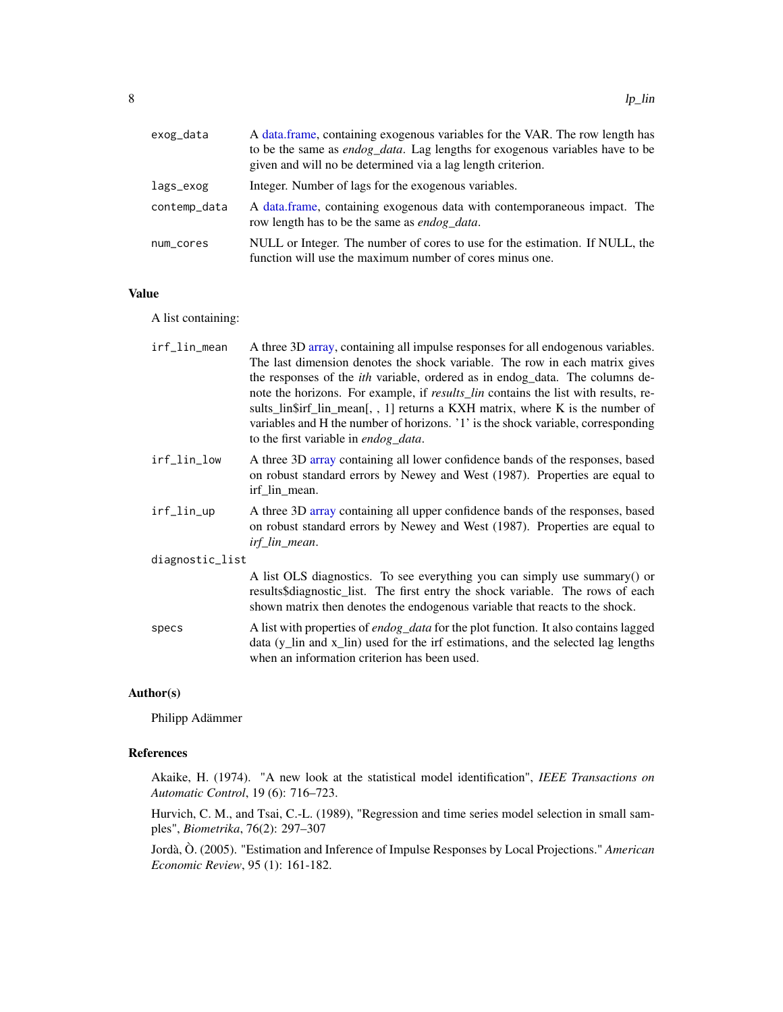<span id="page-7-0"></span>

| exog_data    | A data.frame, containing exogenous variables for the VAR. The row length has<br>to be the same as <i>endog_data</i> . Lag lengths for exogenous variables have to be<br>given and will no be determined via a lag length criterion. |
|--------------|-------------------------------------------------------------------------------------------------------------------------------------------------------------------------------------------------------------------------------------|
| lags_exog    | Integer. Number of lags for the exogenous variables.                                                                                                                                                                                |
| contemp_data | A data frame, containing exogenous data with contemporaneous impact. The<br>row length has to be the same as <i>endog</i> data.                                                                                                     |
| num_cores    | NULL or Integer. The number of cores to use for the estimation. If NULL, the<br>function will use the maximum number of cores minus one.                                                                                            |

### Value

A list containing:

| irf_lin_mean    | A three 3D array, containing all impulse responses for all endogenous variables.<br>The last dimension denotes the shock variable. The row in each matrix gives<br>the responses of the <i>ith</i> variable, ordered as in endog_data. The columns de-<br>note the horizons. For example, if <i>results_lin</i> contains the list with results, re-<br>sults_lin\$irf_lin_mean[, , 1] returns a KXH matrix, where K is the number of<br>variables and H the number of horizons. '1' is the shock variable, corresponding<br>to the first variable in endog_data. |
|-----------------|------------------------------------------------------------------------------------------------------------------------------------------------------------------------------------------------------------------------------------------------------------------------------------------------------------------------------------------------------------------------------------------------------------------------------------------------------------------------------------------------------------------------------------------------------------------|
| irf_lin_low     | A three 3D array containing all lower confidence bands of the responses, based<br>on robust standard errors by Newey and West (1987). Properties are equal to<br>irf lin mean.                                                                                                                                                                                                                                                                                                                                                                                   |
| irf_lin_up      | A three 3D array containing all upper confidence bands of the responses, based<br>on robust standard errors by Newey and West (1987). Properties are equal to<br>irf_lin_mean.                                                                                                                                                                                                                                                                                                                                                                                   |
| diagnostic_list |                                                                                                                                                                                                                                                                                                                                                                                                                                                                                                                                                                  |
|                 | A list OLS diagnostics. To see everything you can simply use summary() or<br>results\$diagnostic_list. The first entry the shock variable. The rows of each<br>shown matrix then denotes the endogenous variable that reacts to the shock.                                                                                                                                                                                                                                                                                                                       |
| specs           | A list with properties of <i>endog_data</i> for the plot function. It also contains lagged<br>data (y_lin and x_lin) used for the irf estimations, and the selected lag lengths<br>when an information criterion has been used.                                                                                                                                                                                                                                                                                                                                  |
|                 |                                                                                                                                                                                                                                                                                                                                                                                                                                                                                                                                                                  |

### Author(s)

Philipp Adämmer

### References

Akaike, H. (1974). "A new look at the statistical model identification", *IEEE Transactions on Automatic Control*, 19 (6): 716–723.

Hurvich, C. M., and Tsai, C.-L. (1989), "Regression and time series model selection in small samples", *Biometrika*, 76(2): 297–307

Jordà, Ò. (2005). "Estimation and Inference of Impulse Responses by Local Projections." *American Economic Review*, 95 (1): 161-182.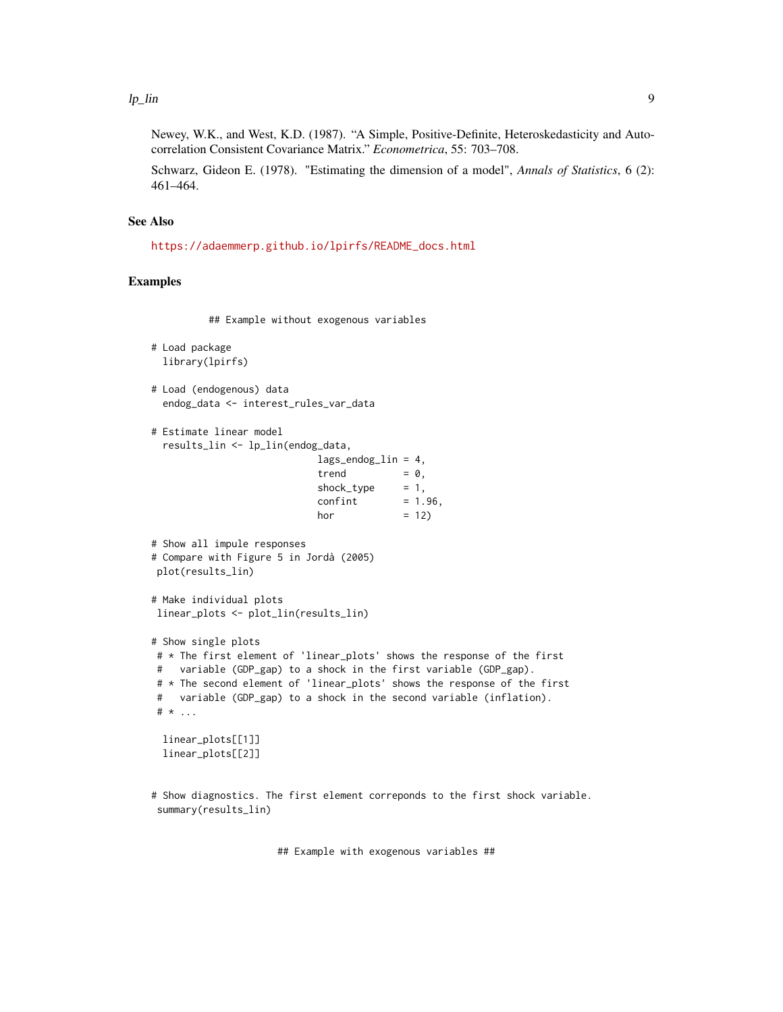Newey, W.K., and West, K.D. (1987). "A Simple, Positive-Definite, Heteroskedasticity and Autocorrelation Consistent Covariance Matrix." *Econometrica*, 55: 703–708.

Schwarz, Gideon E. (1978). "Estimating the dimension of a model", *Annals of Statistics*, 6 (2): 461–464.

### See Also

[https://adaemmerp.github.io/lpirfs/README\\_docs.html](https://adaemmerp.github.io/lpirfs/README_docs.html)

### Examples

## Example without exogenous variables

```
# Load package
 library(lpirfs)
```

```
# Load (endogenous) data
 endog_data <- interest_rules_var_data
```

```
# Estimate linear model
 results_lin <- lp_lin(endog_data,
```

| $lags\_endog$ <sub>1in</sub> = 4, |            |
|-----------------------------------|------------|
| trend                             | $= 0.$     |
| shock_type                        | $= 1.$     |
| confint                           | $= 1.96$ . |
| hor                               | $= 12$     |

```
# Show all impule responses
# Compare with Figure 5 in Jordà (2005)
plot(results_lin)
```

```
# Make individual plots
linear_plots <- plot_lin(results_lin)
```

```
# Show single plots
```

```
# * The first element of 'linear_plots' shows the response of the first
# variable (GDP_gap) to a shock in the first variable (GDP_gap).
# * The second element of 'linear_plots' shows the response of the first
# variable (GDP_gap) to a shock in the second variable (inflation).
# * ...
```
linear\_plots[[1]] linear\_plots[[2]]

# Show diagnostics. The first element correponds to the first shock variable. summary(results\_lin)

## Example with exogenous variables ##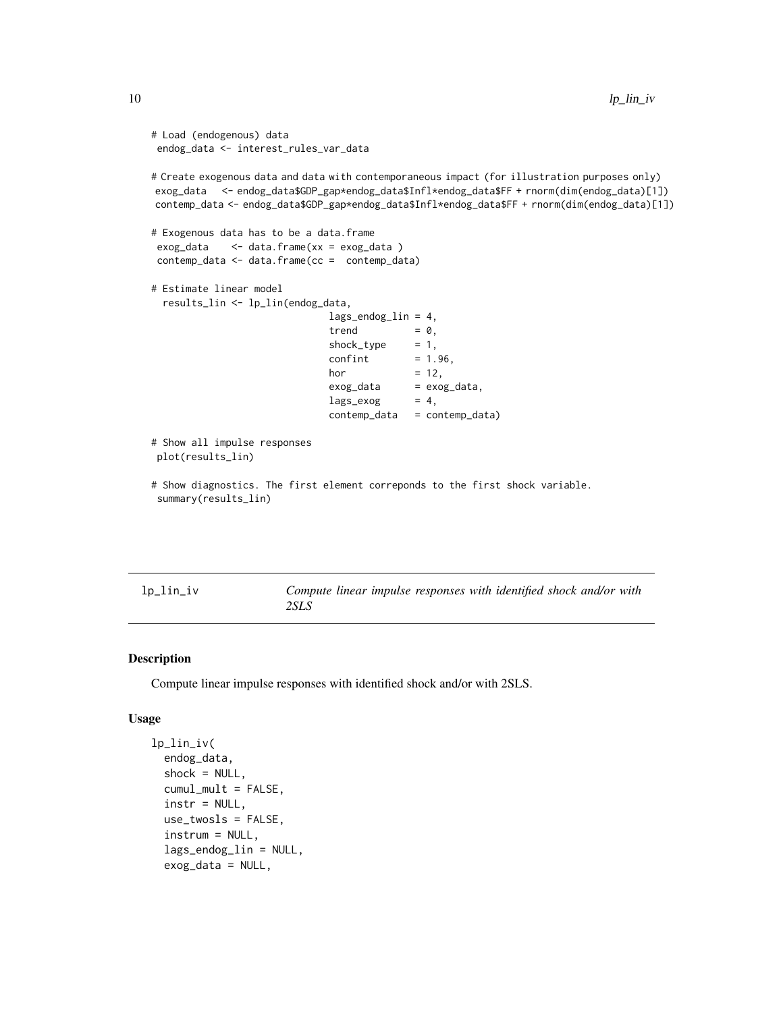```
# Load (endogenous) data
endog_data <- interest_rules_var_data
# Create exogenous data and data with contemporaneous impact (for illustration purposes only)
exog_data <- endog_data$GDP_gap*endog_data$Infl*endog_data$FF + rnorm(dim(endog_data)[1])
contemp_data <- endog_data$GDP_gap*endog_data$Infl*endog_data$FF + rnorm(dim(endog_data)[1])
# Exogenous data has to be a data.frame
exog_data <- data.frame(xx = exog_data )
contemp_data <- data.frame(cc = contemp_data)
# Estimate linear model
 results_lin <- lp_lin(endog_data,
                             lags_endog_lin = 4,
                             trend = 0,shock_type = 1,confint = 1.96,
                             hor = 12,
                             exog_data = exog_data,
                             lags\_exog = 4,
                             contemp_data = contemp_data)
# Show all impulse responses
plot(results_lin)
# Show diagnostics. The first element correponds to the first shock variable.
summary(results_lin)
```
<span id="page-9-1"></span>

| lp_lin_iv | Compute linear impulse responses with identified shock and/or with |  |  |  |  |
|-----------|--------------------------------------------------------------------|--|--|--|--|
|           | 2SLS                                                               |  |  |  |  |

### Description

Compute linear impulse responses with identified shock and/or with 2SLS.

### Usage

```
lp_lin_iv(
  endog_data,
  shock = NULL,
  cumul_mult = FALSE,
  instr = NULL,
  use_twosls = FALSE,
  instrum = NULL,
  lags_endog_lin = NULL,
  exog_data = NULL,
```
<span id="page-9-0"></span>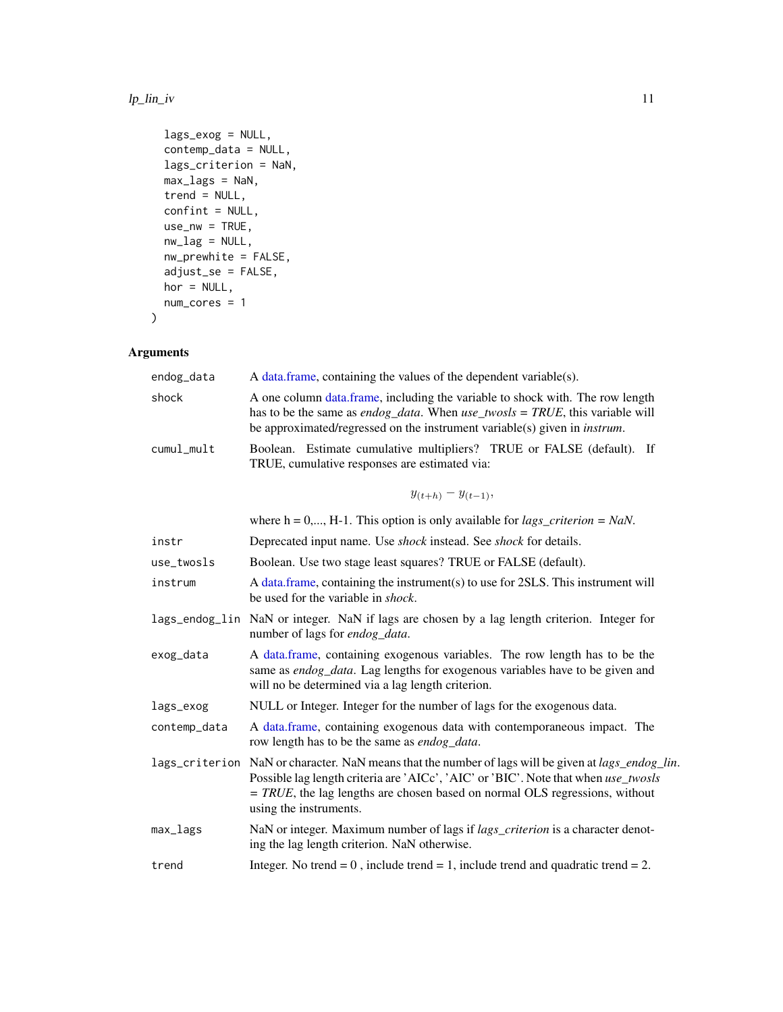### <span id="page-10-0"></span> $l$ p\_lin\_iv 11

```
lags_exog = NULL,
 contemp_data = NULL,
 lags_criterion = NaN,
 max_lags = NaN,
 trend = NULL,confint = NULL,
 use_nw = TRUE,nw\_lag = NULL,nw_prewhite = FALSE,
  adjust_se = FALSE,
 hor = NULL,
 num_cores = 1
\mathcal{L}
```

| endog_data   | A data frame, containing the values of the dependent variable(s).                                                                                                                                                                                                                                             |
|--------------|---------------------------------------------------------------------------------------------------------------------------------------------------------------------------------------------------------------------------------------------------------------------------------------------------------------|
| shock        | A one column data.frame, including the variable to shock with. The row length<br>has to be the same as <i>endog_data</i> . When $use\_twosls = TRUE$ , this variable will<br>be approximated/regressed on the instrument variable(s) given in <i>instrum</i> .                                                |
| cumul_mult   | Boolean. Estimate cumulative multipliers? TRUE or FALSE (default). If<br>TRUE, cumulative responses are estimated via:                                                                                                                                                                                        |
|              | $y_{(t+h)} - y_{(t-1)},$                                                                                                                                                                                                                                                                                      |
|              | where $h = 0,, H-1$ . This option is only available for <i>lags_criterion</i> = <i>NaN</i> .                                                                                                                                                                                                                  |
| instr        | Deprecated input name. Use shock instead. See shock for details.                                                                                                                                                                                                                                              |
| use_twosls   | Boolean. Use two stage least squares? TRUE or FALSE (default).                                                                                                                                                                                                                                                |
| instrum      | A data.frame, containing the instrument(s) to use for 2SLS. This instrument will<br>be used for the variable in <i>shock</i> .                                                                                                                                                                                |
|              | lags_endog_lin NaN or integer. NaN if lags are chosen by a lag length criterion. Integer for<br>number of lags for endog_data.                                                                                                                                                                                |
| exog_data    | A data.frame, containing exogenous variables. The row length has to be the<br>same as endog_data. Lag lengths for exogenous variables have to be given and<br>will no be determined via a lag length criterion.                                                                                               |
| lags_exog    | NULL or Integer. Integer for the number of lags for the exogenous data.                                                                                                                                                                                                                                       |
| contemp_data | A data.frame, containing exogenous data with contemporaneous impact. The<br>row length has to be the same as endog_data.                                                                                                                                                                                      |
|              | lags_criterion NaN or character. NaN means that the number of lags will be given at <i>lags_endog_lin</i> .<br>Possible lag length criteria are 'AICc', 'AIC' or 'BIC'. Note that when use_twosls<br>$= TRUE$ , the lag lengths are chosen based on normal OLS regressions, without<br>using the instruments. |
| max_lags     | NaN or integer. Maximum number of lags if lags_criterion is a character denot-<br>ing the lag length criterion. NaN otherwise.                                                                                                                                                                                |
| trend        | Integer. No trend = $0$ , include trend = 1, include trend and quadratic trend = $2$ .                                                                                                                                                                                                                        |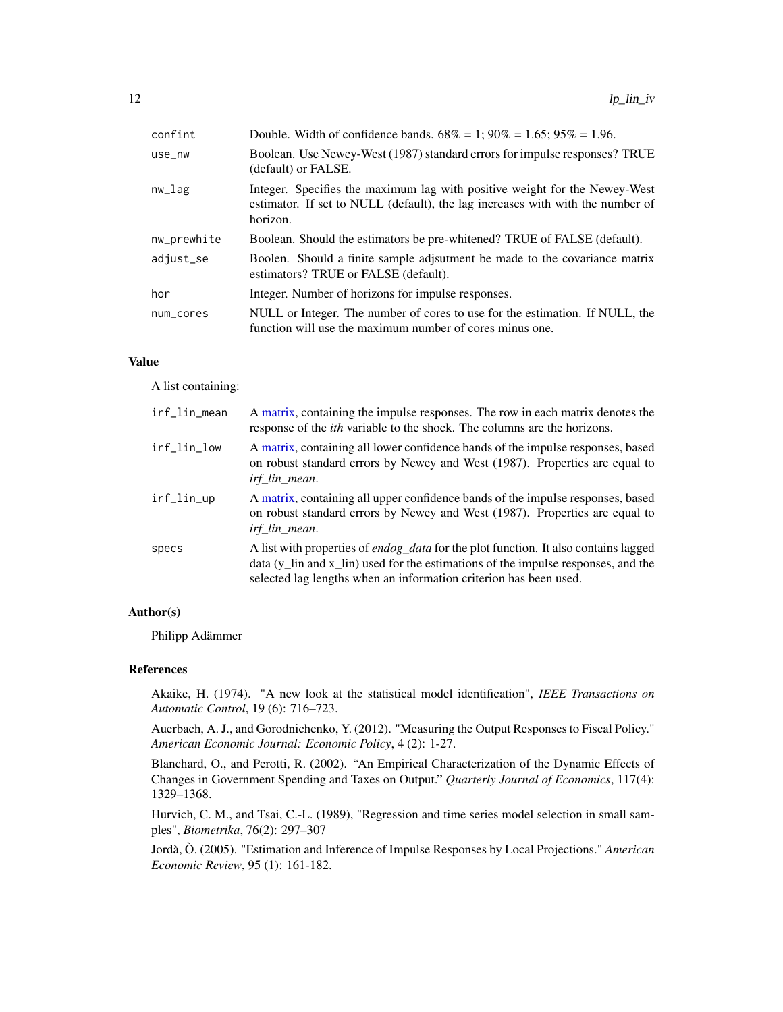<span id="page-11-0"></span>

| confint     | Double. Width of confidence bands. $68\% = 1$ ; $90\% = 1.65$ ; $95\% = 1.96$ .                                                                                          |
|-------------|--------------------------------------------------------------------------------------------------------------------------------------------------------------------------|
| use_nw      | Boolean. Use Newey-West (1987) standard errors for impulse responses? TRUE<br>(default) or FALSE.                                                                        |
| nw_lag      | Integer. Specifies the maximum lag with positive weight for the Newey-West<br>estimator. If set to NULL (default), the lag increases with with the number of<br>horizon. |
| nw_prewhite | Boolean. Should the estimators be pre-whitened? TRUE of FALSE (default).                                                                                                 |
| adjust_se   | Boolen. Should a finite sample adjsutment be made to the covariance matrix<br>estimators? TRUE or FALSE (default).                                                       |
| hor         | Integer. Number of horizons for impulse responses.                                                                                                                       |
| num_cores   | NULL or Integer. The number of cores to use for the estimation. If NULL, the<br>function will use the maximum number of cores minus one.                                 |

### Value

A list containing:

| irf_lin_mean | A matrix, containing the impulse responses. The row in each matrix denotes the<br>response of the <i>ith</i> variable to the shock. The columns are the horizons.                                                                                                            |
|--------------|------------------------------------------------------------------------------------------------------------------------------------------------------------------------------------------------------------------------------------------------------------------------------|
| irf_lin_low  | A matrix, containing all lower confidence bands of the impulse responses, based<br>on robust standard errors by Newey and West (1987). Properties are equal to<br>irf_lin_mean.                                                                                              |
| irf_lin_up   | A matrix, containing all upper confidence bands of the impulse responses, based<br>on robust standard errors by Newey and West (1987). Properties are equal to<br><i>irf</i> lin mean.                                                                                       |
| specs        | A list with properties of <i>endog_data</i> for the plot function. It also contains lagged<br>data $(y_{\text{min}})$ and x <sub>1</sub> lin used for the estimations of the impulse responses, and the<br>selected lag lengths when an information criterion has been used. |

### Author(s)

Philipp Adämmer

### References

Akaike, H. (1974). "A new look at the statistical model identification", *IEEE Transactions on Automatic Control*, 19 (6): 716–723.

Auerbach, A. J., and Gorodnichenko, Y. (2012). "Measuring the Output Responses to Fiscal Policy." *American Economic Journal: Economic Policy*, 4 (2): 1-27.

Blanchard, O., and Perotti, R. (2002). "An Empirical Characterization of the Dynamic Effects of Changes in Government Spending and Taxes on Output." *Quarterly Journal of Economics*, 117(4): 1329–1368.

Hurvich, C. M., and Tsai, C.-L. (1989), "Regression and time series model selection in small samples", *Biometrika*, 76(2): 297–307

Jordà, Ò. (2005). "Estimation and Inference of Impulse Responses by Local Projections." *American Economic Review*, 95 (1): 161-182.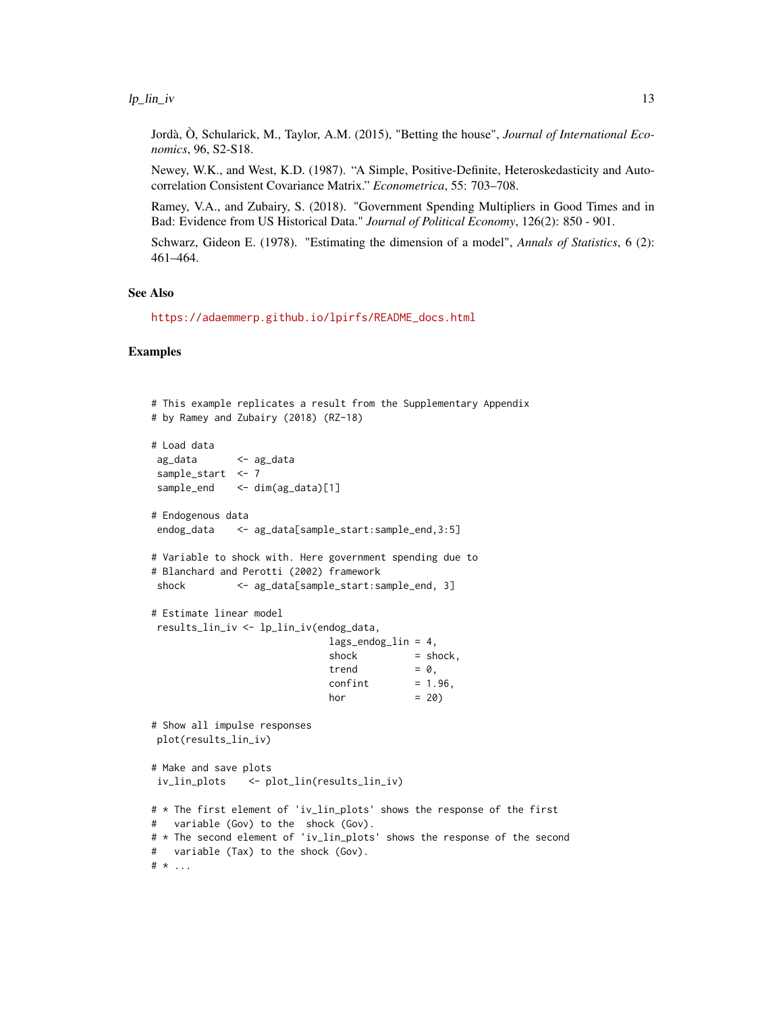### $lp\_lin\_iv$  13

Jordà, Ò, Schularick, M., Taylor, A.M. (2015), "Betting the house", *Journal of International Economics*, 96, S2-S18.

Newey, W.K., and West, K.D. (1987). "A Simple, Positive-Definite, Heteroskedasticity and Autocorrelation Consistent Covariance Matrix." *Econometrica*, 55: 703–708.

Ramey, V.A., and Zubairy, S. (2018). "Government Spending Multipliers in Good Times and in Bad: Evidence from US Historical Data." *Journal of Political Economy*, 126(2): 850 - 901.

Schwarz, Gideon E. (1978). "Estimating the dimension of a model", *Annals of Statistics*, 6 (2): 461–464.

### See Also

[https://adaemmerp.github.io/lpirfs/README\\_docs.html](https://adaemmerp.github.io/lpirfs/README_docs.html)

### Examples

```
# This example replicates a result from the Supplementary Appendix
# by Ramey and Zubairy (2018) (RZ-18)
# Load data
ag_data <- ag_data
sample_start <- 7
sample_end <- dim(ag_data)[1]
# Endogenous data
endog_data <- ag_data[sample_start:sample_end,3:5]
# Variable to shock with. Here government spending due to
# Blanchard and Perotti (2002) framework
shock <- ag_data[sample_start:sample_end, 3]
# Estimate linear model
results_lin_iv <- lp_lin_iv(endog_data,
                             lags\_endog\_lin = 4,
                             shock = shock,
                             trend = 0,confint = 1.96,
                             hor = 20# Show all impulse responses
plot(results_lin_iv)
# Make and save plots
iv_lin_plots <- plot_lin(results_lin_iv)
# * The first element of 'iv_lin_plots' shows the response of the first
# variable (Gov) to the shock (Gov).
# * The second element of 'iv_lin_plots' shows the response of the second
# variable (Tax) to the shock (Gov).
# * ...
```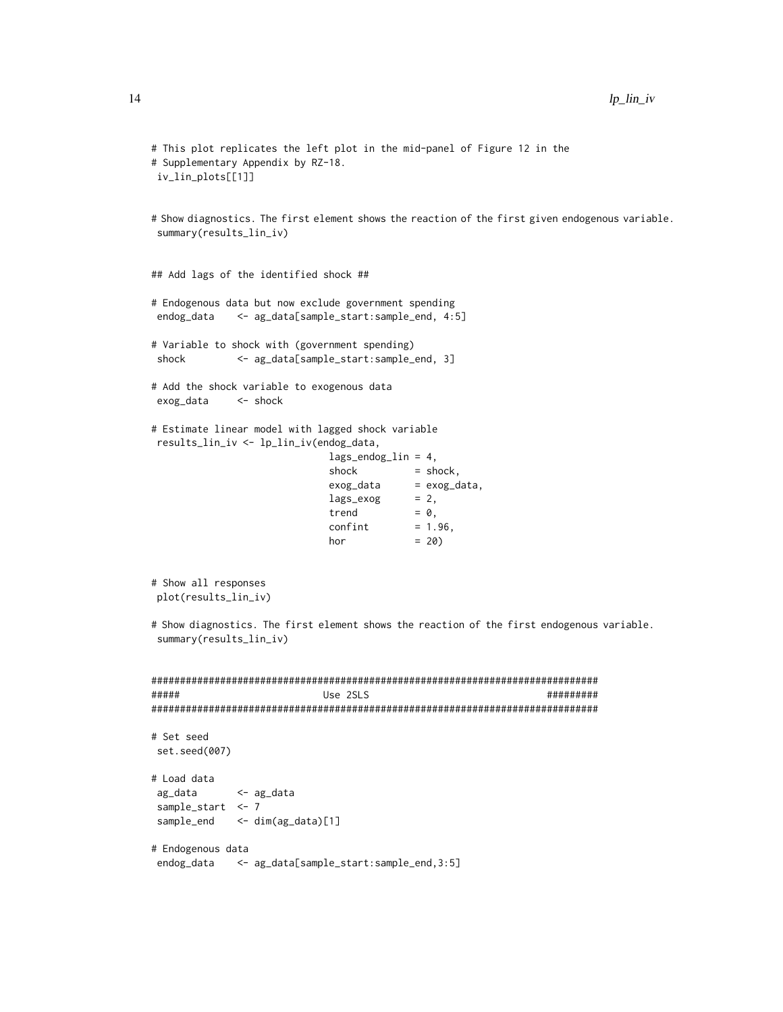```
# This plot replicates the left plot in the mid-panel of Figure 12 in the
# Supplementary Appendix by RZ-18.
iv_lin_plots[[1]]
# Show diagnostics. The first element shows the reaction of the first given endogenous variable.
summary(results_lin_iv)
## Add lags of the identified shock ##
# Endogenous data but now exclude government spending
endog_data <- ag_data[sample_start:sample_end, 4:5]
# Variable to shock with (government spending)
shock <- ag_data[sample_start:sample_end, 3]
# Add the shock variable to exogenous data
exog_data <- shock
# Estimate linear model with lagged shock variable
results_lin_iv <- lp_lin_iv(endog_data,
                            lags_endog_lin = 4,
                            shock = shock,
                            exog_data = exog_data,
                            lags\_exog = 2,
                            trend = 0,confint = 1.96,
                            hor = 20# Show all responses
plot(results_lin_iv)
# Show diagnostics. The first element shows the reaction of the first endogenous variable.
summary(results_lin_iv)
##############################################################################
##### Use 2SLS #########
##############################################################################
# Set seed
set.seed(007)
# Load data
ag_data <- ag_data
sample_start <- 7
sample_end <- dim(ag_data)[1]
# Endogenous data
```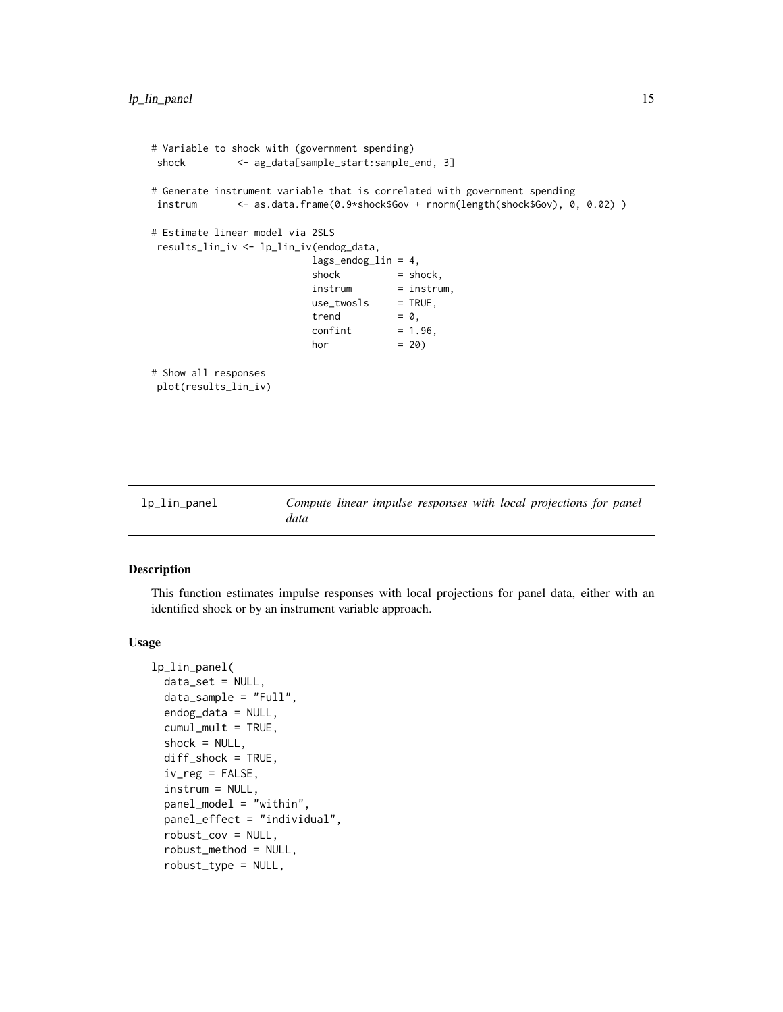```
# Variable to shock with (government spending)
shock <- ag_data[sample_start:sample_end, 3]
# Generate instrument variable that is correlated with government spending
instrum <- as.data.frame(0.9*shock$Gov + rnorm(length(shock$Gov), 0, 0.02) )
# Estimate linear model via 2SLS
results_lin_iv <- lp_lin_iv(endog_data,
                        lags_endog_lin = 4,
                         shock = shock,
                         instrum = instrum,
                         use_twosls = TRUE,
                         trend = 0,confint = 1.96,
                         hor = 20)
# Show all responses
plot(results_lin_iv)
```

```
lp_lin_panel Compute linear impulse responses with local projections for panel
                      data
```
### Description

This function estimates impulse responses with local projections for panel data, either with an identified shock or by an instrument variable approach.

### Usage

```
lp_lin_panel(
  data_set = NULL,
  data_sample = "Full",
  endog_data = NULL,
  cumul_mult = TRUE,shock = NULL,diff\_shock = TRUE,iv_{reg} = FALSE,
  instrum = NULL,
  panel_model = "within",
  panel_effect = "individual",
  robust_cov = NULL,
  robust_method = NULL,
  robust_type = NULL,
```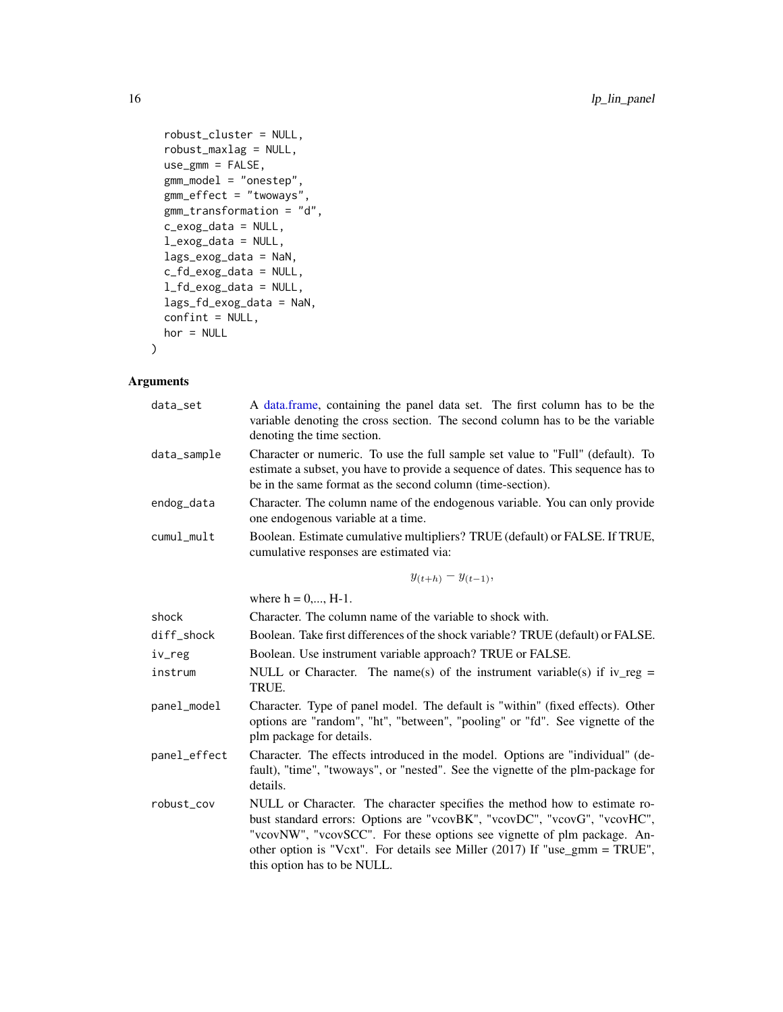```
robust_cluster = NULL,
 robust_maxlag = NULL,
 use\_gmm = FALSE,gmm_model = "onestep",
 gmm_effect = "twoways",
 gmm_transformation = "d",
 c_exog_data = NULL,
  l_exog_data = NULL,
 lags_exog_data = NaN,
 c_fd_exog_data = NULL,
 l_fd_exog_data = NULL,
 lags_fd_exog_data = NaN,
 confint = NULL,hor = NULL
)
```

| data_set     | A data.frame, containing the panel data set. The first column has to be the<br>variable denoting the cross section. The second column has to be the variable<br>denoting the time section.                                                                                                                                                    |
|--------------|-----------------------------------------------------------------------------------------------------------------------------------------------------------------------------------------------------------------------------------------------------------------------------------------------------------------------------------------------|
| data_sample  | Character or numeric. To use the full sample set value to "Full" (default). To<br>estimate a subset, you have to provide a sequence of dates. This sequence has to<br>be in the same format as the second column (time-section).                                                                                                              |
| endog_data   | Character. The column name of the endogenous variable. You can only provide<br>one endogenous variable at a time.                                                                                                                                                                                                                             |
| cumul_mult   | Boolean. Estimate cumulative multipliers? TRUE (default) or FALSE. If TRUE,<br>cumulative responses are estimated via:                                                                                                                                                                                                                        |
|              | $y_{(t+h)} - y_{(t-1)},$                                                                                                                                                                                                                                                                                                                      |
|              | where $h = 0, , H-1$ .                                                                                                                                                                                                                                                                                                                        |
| shock        | Character. The column name of the variable to shock with.                                                                                                                                                                                                                                                                                     |
| diff_shock   | Boolean. Take first differences of the shock variable? TRUE (default) or FALSE.                                                                                                                                                                                                                                                               |
| iv_reg       | Boolean. Use instrument variable approach? TRUE or FALSE.                                                                                                                                                                                                                                                                                     |
| instrum      | NULL or Character. The name(s) of the instrument variable(s) if iv_reg =<br>TRUE.                                                                                                                                                                                                                                                             |
| panel_model  | Character. Type of panel model. The default is "within" (fixed effects). Other<br>options are "random", "ht", "between", "pooling" or "fd". See vignette of the<br>plm package for details.                                                                                                                                                   |
| panel_effect | Character. The effects introduced in the model. Options are "individual" (de-<br>fault), "time", "twoways", or "nested". See the vignette of the plm-package for<br>details.                                                                                                                                                                  |
| robust_cov   | NULL or Character. The character specifies the method how to estimate ro-<br>bust standard errors: Options are "vcovBK", "vcovDC", "vcovG", "vcovHC",<br>"vcovNW", "vcovSCC". For these options see vignette of plm package. An-<br>other option is "Vcxt". For details see Miller (2017) If "use_gmm = TRUE",<br>this option has to be NULL. |

<span id="page-15-0"></span>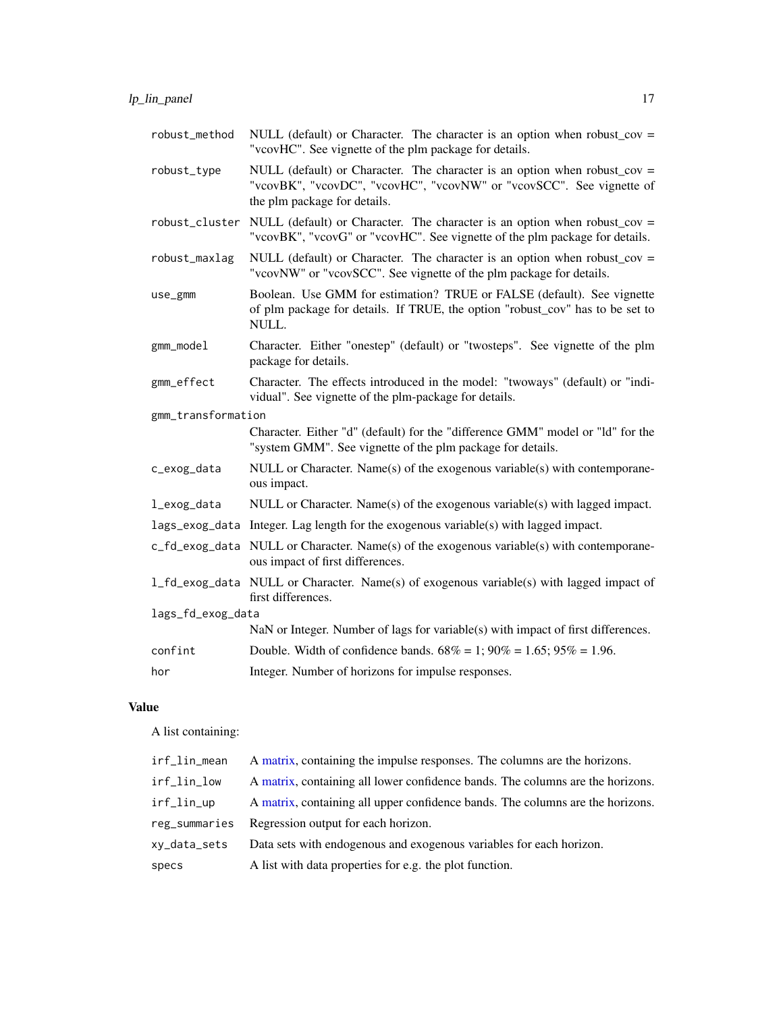<span id="page-16-0"></span>

| robust_method      | NULL (default) or Character. The character is an option when robust_cov =<br>"vcovHC". See vignette of the plm package for details.                                               |
|--------------------|-----------------------------------------------------------------------------------------------------------------------------------------------------------------------------------|
| robust_type        | NULL (default) or Character. The character is an option when robust_cov =<br>"vcovBK", "vcovDC", "vcovHC", "vcovNW" or "vcovSCC". See vignette of<br>the plm package for details. |
| robust_cluster     | NULL (default) or Character. The character is an option when robust_cov =<br>"vcovBK", "vcovG" or "vcovHC". See vignette of the plm package for details.                          |
| robust_maxlag      | NULL (default) or Character. The character is an option when robust_cov =<br>"vcovNW" or "vcovSCC". See vignette of the plm package for details.                                  |
| use_gmm            | Boolean. Use GMM for estimation? TRUE or FALSE (default). See vignette<br>of plm package for details. If TRUE, the option "robust_cov" has to be set to<br>NULL.                  |
| gmm_model          | Character. Either "onestep" (default) or "twosteps". See vignette of the plm<br>package for details.                                                                              |
| gmm_effect         | Character. The effects introduced in the model: "twoways" (default) or "indi-<br>vidual". See vignette of the plm-package for details.                                            |
| gmm_transformation |                                                                                                                                                                                   |
|                    | Character. Either "d" (default) for the "difference GMM" model or "ld" for the<br>"system GMM". See vignette of the plm package for details.                                      |
| c_exog_data        | NULL or Character. Name(s) of the exogenous variable(s) with contemporane-<br>ous impact.                                                                                         |
| l_exog_data        | NULL or Character. Name(s) of the exogenous variable(s) with lagged impact.                                                                                                       |
|                    | $lags\_exog\_data$ Integer. Lag length for the exogenous variable(s) with lagged impact.                                                                                          |
|                    | c_fd_exog_data NULL or Character. Name(s) of the exogenous variable(s) with contemporane-<br>ous impact of first differences.                                                     |
|                    | 1_fd_exog_data NULL or Character. Name(s) of exogenous variable(s) with lagged impact of<br>first differences.                                                                    |
| lags_fd_exog_data  |                                                                                                                                                                                   |
|                    | NaN or Integer. Number of lags for variable(s) with impact of first differences.                                                                                                  |
| confint            | Double. Width of confidence bands. $68\% = 1$ ; $90\% = 1.65$ ; $95\% = 1.96$ .                                                                                                   |
| hor                | Integer. Number of horizons for impulse responses.                                                                                                                                |

### Value

A list containing:

| irf_lin_mean  | A matrix, containing the impulse responses. The columns are the horizons.      |
|---------------|--------------------------------------------------------------------------------|
| irf_lin_low   | A matrix, containing all lower confidence bands. The columns are the horizons. |
| irf_lin_up    | A matrix, containing all upper confidence bands. The columns are the horizons. |
| reg summaries | Regression output for each horizon.                                            |
| xy_data_sets  | Data sets with endogenous and exogenous variables for each horizon.            |
| specs         | A list with data properties for e.g. the plot function.                        |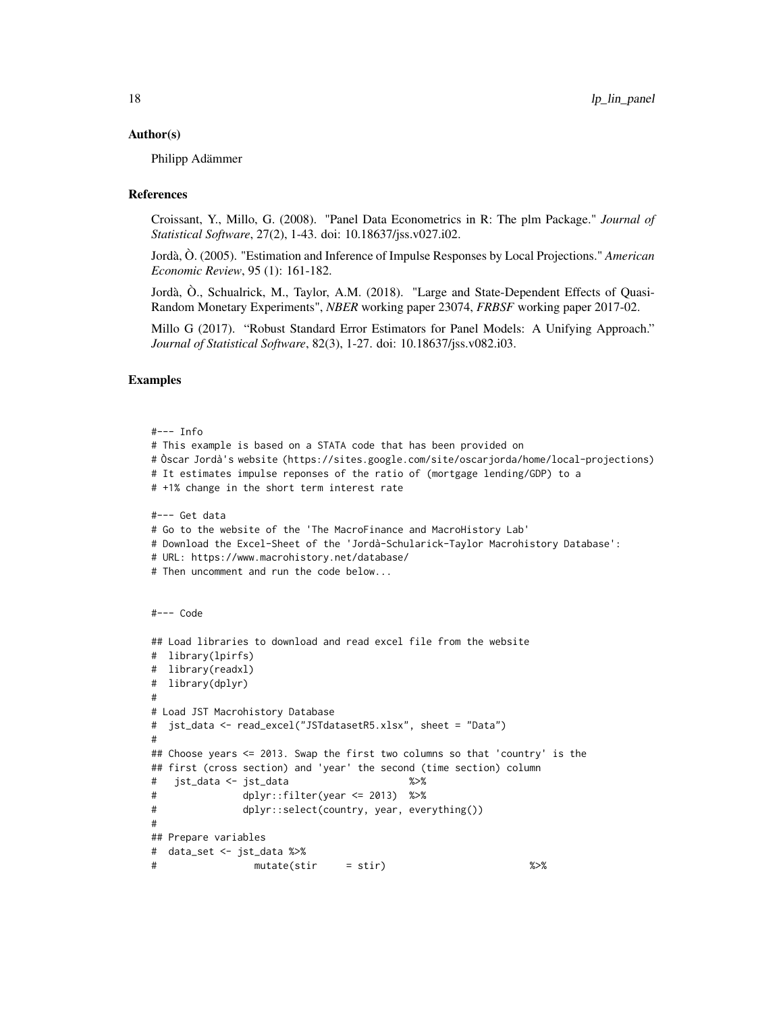### Author(s)

Philipp Adämmer

### References

Croissant, Y., Millo, G. (2008). "Panel Data Econometrics in R: The plm Package." *Journal of Statistical Software*, 27(2), 1-43. doi: 10.18637/jss.v027.i02.

Jordà, Ò. (2005). "Estimation and Inference of Impulse Responses by Local Projections." *American Economic Review*, 95 (1): 161-182.

Jordà, Ò., Schualrick, M., Taylor, A.M. (2018). "Large and State-Dependent Effects of Quasi-Random Monetary Experiments", *NBER* working paper 23074, *FRBSF* working paper 2017-02.

Millo G (2017). "Robust Standard Error Estimators for Panel Models: A Unifying Approach." *Journal of Statistical Software*, 82(3), 1-27. doi: 10.18637/jss.v082.i03.

### Examples

```
#--- Info
# This example is based on a STATA code that has been provided on
# Òscar Jordà's website (https://sites.google.com/site/oscarjorda/home/local-projections)
# It estimates impulse reponses of the ratio of (mortgage lending/GDP) to a
# +1% change in the short term interest rate
#--- Get data
# Go to the website of the 'The MacroFinance and MacroHistory Lab'
# Download the Excel-Sheet of the 'Jordà-Schularick-Taylor Macrohistory Database':
# URL: https://www.macrohistory.net/database/
# Then uncomment and run the code below...
#--- Code
## Load libraries to download and read excel file from the website
# library(lpirfs)
# library(readxl)
# library(dplyr)
#
# Load JST Macrohistory Database
# jst_data <- read_excel("JSTdatasetR5.xlsx", sheet = "Data")
#
## Choose years <= 2013. Swap the first two columns so that 'country' is the
## first (cross section) and 'year' the second (time section) column
# jst_data <- jst_data %>%
# dplyr::filter(year <= 2013) %>%
# dplyr::select(country, year, everything())
#
## Prepare variables
# data_set <- jst_data %>%
# mutate(stir = stir) %>%
```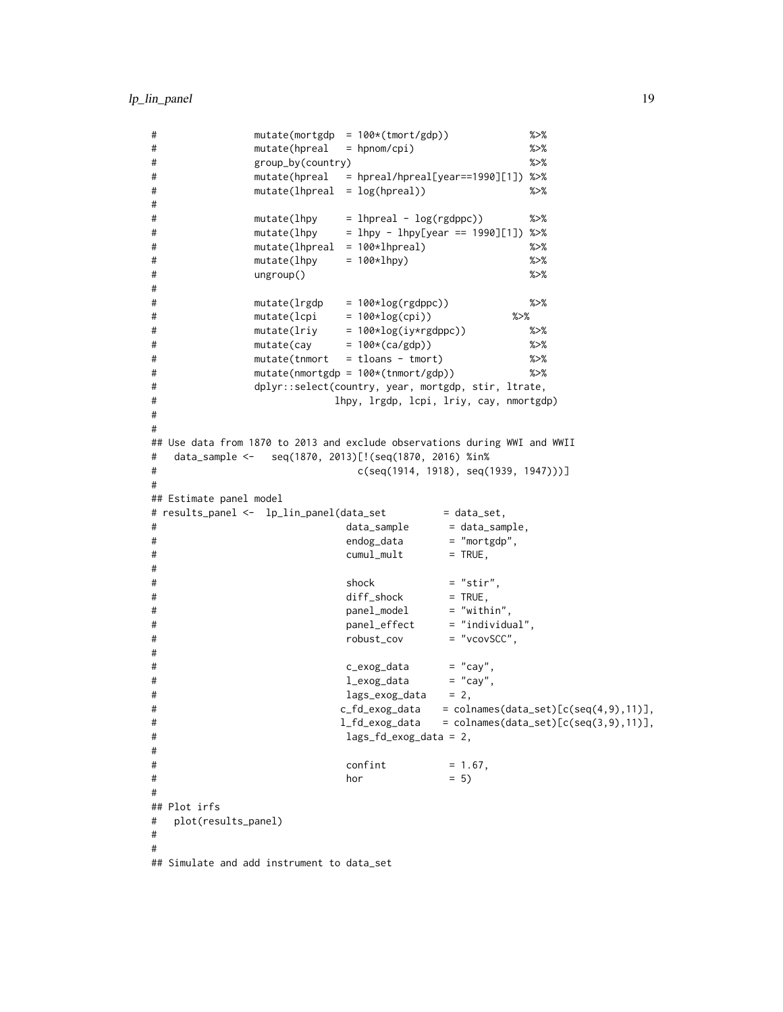```
# mutate(mortgdp = 100*(tmort/gdp)) %>%
# mutate(hpreal = hpnom/cpi) %>%
# group_by(country) %>%
# mutate(hpreal = hpreal/hpreal[year==1990][1]) %>%
# mutate(lhpreal = log(hpreal)) %>%
#
# mutate(lhpy = lhpreal - log(rgdppc)) %>%
# mutate(lhpy = lhpy - lhpy[year == 1990][1]) %>%
# mutate(lhpreal = 100*lhpreal) %>%
# mutate(lhpy = 100*lhpy) %>%
# ungroup() %>%
#
# mutate(lrgdp = 100*log(rgdppc)) %>%
\# mutate(lcpi = 100*log(cpi)) %>%
# mutate(lriy = 100*log(iy*rgdppc)) %>%
# mutate(cay = 100*(ca/gdp)) %>%
# mutate(tnmort = tloans - tmort) %>%
# mutate(nmortgdp = 100*(tnmort/gdp)) %>%
# dplyr::select(country, year, mortgdp, stir, ltrate,
# lhpy, lrgdp, lcpi, lriy, cay, nmortgdp)
#
#
## Use data from 1870 to 2013 and exclude observations during WWI and WWII
# data_sample <- seq(1870, 2013)[!(seq(1870, 2016) %in%
# c(seq(1914, 1918), seq(1939, 1947)))]
#
## Estimate panel model
# results_panel <- lp_lin_panel(data_set = data_set,
# data_sample = data_sample,
# endog_data = "mortgdp",
# cumul_mult = TRUE,
#
# shock = "stir",
# diff_shock = TRUE,
# panel_model = "within",
# panel_effect = "individual",
# robust_cov = "vcovSCC",
#
# c_exog_data = "cay",
# l_exog_data = "cay",
# lags_exog_data = 2,
# c_fd_exog_data = colnames(data_set)[c(seq(4,9),11)],
# l_fd_exog_data = colnames(data_set)[c(seq(3,9),11)],
# lags_fd_exog_data = 2,
#
\# confint = 1.67,
\# hor = 5)#
## Plot irfs
# plot(results_panel)
#
#
## Simulate and add instrument to data_set
```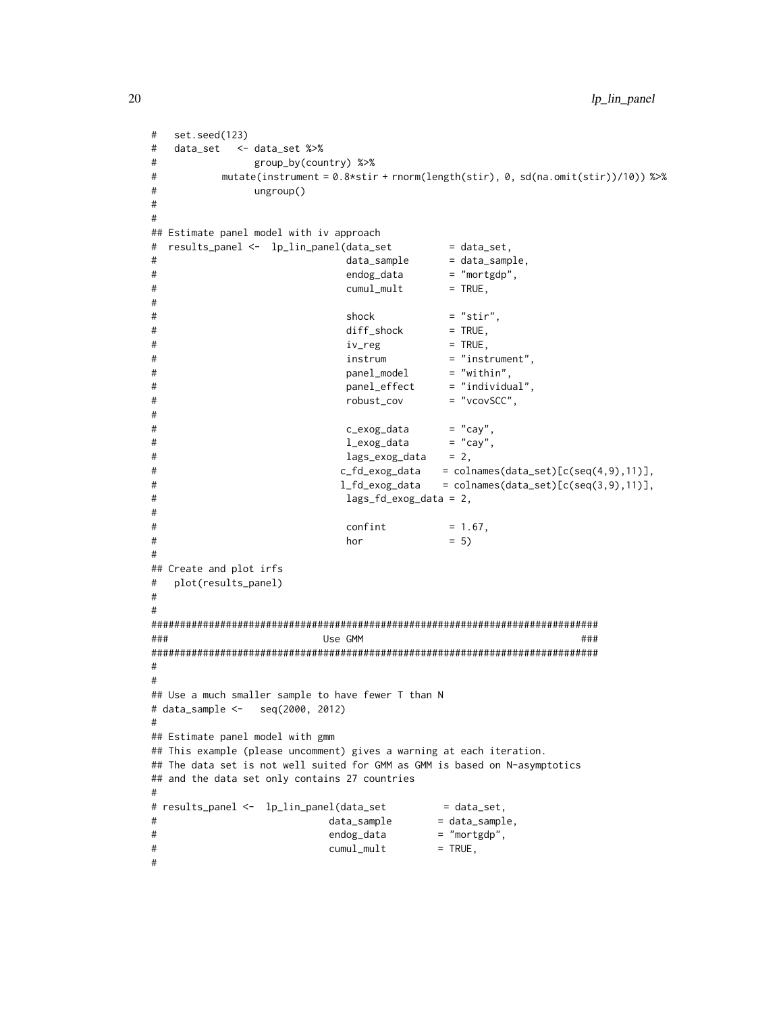```
# set.seed(123)
# data_set <- data_set %>%
# group_by(country) %>%
# mutate(instrument = 0.8*stir + rnorm(length(stir), 0, sd(na.omit(stir))/10)) %>%
# ungroup()
#
#
## Estimate panel model with iv approach
# results_panel <- lp_lin_panel(data_set = data_set,
# data_sample = data_sample,
# endog_data = "mortgdp",
# cumul_mult = TRUE,
#
\# shock = "stir",
# diff_shock = TRUE,
\ddot{x} \dot{y} = TRUE,
# instrum = "instrument",
# panel_model = "within",
# panel_effect = "individual",
# robust_cov = "vcovSCC",
#
# c_exog_data = "cay",
# l_exog_data
\# lags_exog_data = 2,
# c_fd_exog_data = colnames(data_set)[c(seq(4,9),11)],
# l_fd_exog_data = colnames(data_set)[c(seq(3,9),11)],
# lags_fd_exog_data = 2,
#
\# confint = 1.67,
\# hor = 5)#
## Create and plot irfs
# plot(results_panel)
#
#
##############################################################################
### Use GMM ###
##############################################################################
#
#
## Use a much smaller sample to have fewer T than N
# data_sample <- seq(2000, 2012)
#
## Estimate panel model with gmm
## This example (please uncomment) gives a warning at each iteration.
## The data set is not well suited for GMM as GMM is based on N-asymptotics
## and the data set only contains 27 countries
#
# results_panel <- lp_lin_panel(data_set = data_set,
# data_sample = data_sample,
# endog_data = "mortgdp",
\# cumul_mult = TRUE,
#
```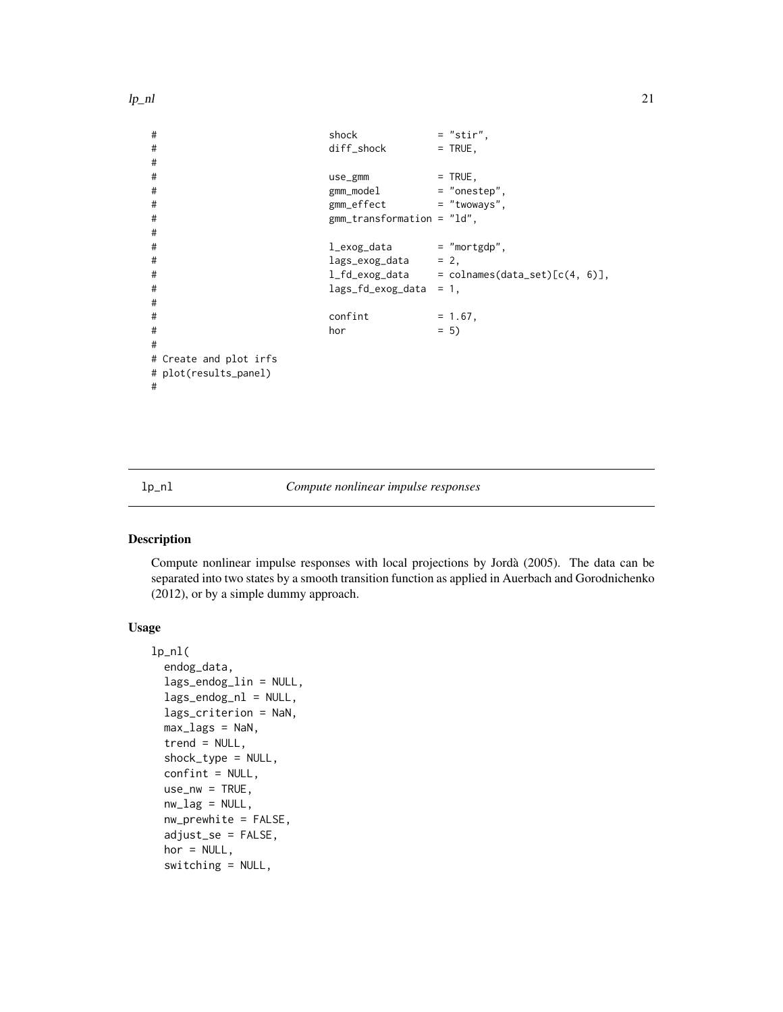```
lp_nl 21
```

```
# shock = "stir",
# diff_shock = TRUE,
#
# use_gmm = TRUE,
# # gmm_model = "onestep",<br># gmm_effect = "twoways".
               gmm\_effect = "twoways",
# gmm_transformation = "ld",
#
# l_exog_data = "mortgdp",
# lags_exog_data = 2,
# l_fd_exog_data = colnames(data_set)[c(4, 6)],
# lags_fd_exog_data = 1,
#
\# confint = 1.67,
\# hor = 5)#
# Create and plot irfs
# plot(results_panel)
#
```
<span id="page-20-1"></span>

lp\_nl *Compute nonlinear impulse responses*

### Description

Compute nonlinear impulse responses with local projections by Jordà (2005). The data can be separated into two states by a smooth transition function as applied in Auerbach and Gorodnichenko (2012), or by a simple dummy approach.

### Usage

```
lp_nl(
  endog_data,
  lags_endog_lin = NULL,
  lags\_endog_n1 = NULL,lags_criterion = NaN,
 max\_lags = NaN,
  trend = NULL,
  shock_type = NULL,
  confint = NULL,
  use_nw = TRUE,nw\_lag = NULL,nw\_prewhite = FALSE,adjust_se = FALSE,
  hor = NULL,switching = NULL,
```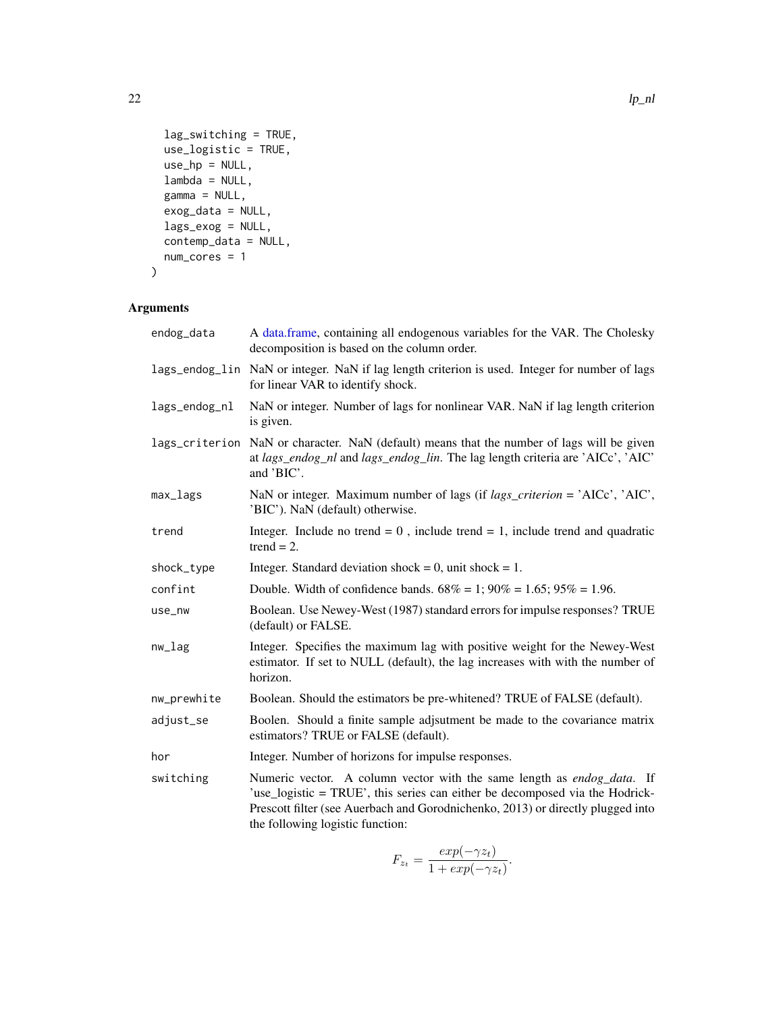```
lag_switching = TRUE,
 use_logistic = TRUE,
 use_hp = NULL,lambda = NULL,
 gamma = NULL,
 exog_data = NULL,
 lags_exog = NULL,
 contemp_data = NULL,
 num_cores = 1
\mathcal{L}
```

| endog_data    | A data.frame, containing all endogenous variables for the VAR. The Cholesky<br>decomposition is based on the column order.                                                                                                                                                    |
|---------------|-------------------------------------------------------------------------------------------------------------------------------------------------------------------------------------------------------------------------------------------------------------------------------|
|               | lags_endog_lin NaN or integer. NaN if lag length criterion is used. Integer for number of lags<br>for linear VAR to identify shock.                                                                                                                                           |
| lags_endog_nl | NaN or integer. Number of lags for nonlinear VAR. NaN if lag length criterion<br>is given.                                                                                                                                                                                    |
|               | lags_criterion NaN or character. NaN (default) means that the number of lags will be given<br>at lags_endog_nl and lags_endog_lin. The lag length criteria are 'AICc', 'AIC'<br>and 'BIC'.                                                                                    |
| max_lags      | NaN or integer. Maximum number of lags (if <i>lags_criterion</i> = 'AICc', 'AIC',<br>'BIC'). NaN (default) otherwise.                                                                                                                                                         |
| trend         | Integer. Include no trend = $0$ , include trend = 1, include trend and quadratic<br>$trend = 2.$                                                                                                                                                                              |
| shock_type    | Integer. Standard deviation shock = 0, unit shock = 1.                                                                                                                                                                                                                        |
| confint       | Double. Width of confidence bands. $68\% = 1$ ; $90\% = 1.65$ ; $95\% = 1.96$ .                                                                                                                                                                                               |
| use_nw        | Boolean. Use Newey-West (1987) standard errors for impulse responses? TRUE<br>(default) or FALSE.                                                                                                                                                                             |
| $nw\_lag$     | Integer. Specifies the maximum lag with positive weight for the Newey-West<br>estimator. If set to NULL (default), the lag increases with with the number of<br>horizon.                                                                                                      |
| nw_prewhite   | Boolean. Should the estimators be pre-whitened? TRUE of FALSE (default).                                                                                                                                                                                                      |
| adjust_se     | Boolen. Should a finite sample adjsutment be made to the covariance matrix<br>estimators? TRUE or FALSE (default).                                                                                                                                                            |
| hor           | Integer. Number of horizons for impulse responses.                                                                                                                                                                                                                            |
| switching     | Numeric vector. A column vector with the same length as endog_data. If<br>'use_logistic = TRUE', this series can either be decomposed via the Hodrick-<br>Prescott filter (see Auerbach and Gorodnichenko, 2013) or directly plugged into<br>the following logistic function: |

$$
F_{z_t} = \frac{exp(-\gamma z_t)}{1 + exp(-\gamma z_t)}.
$$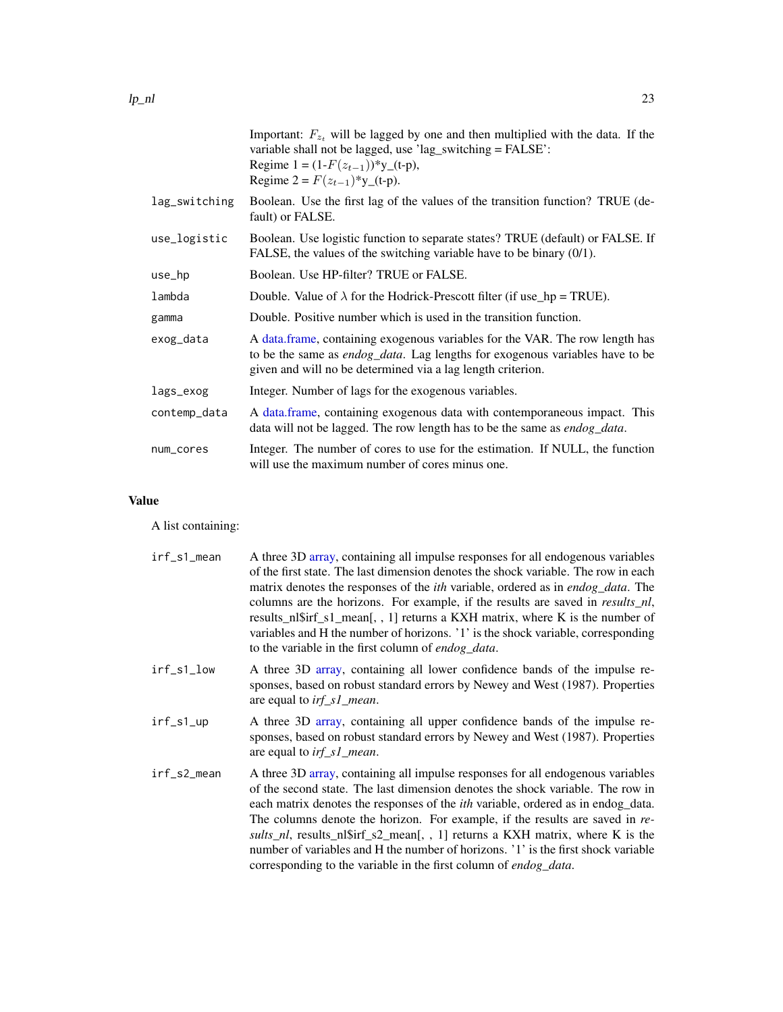<span id="page-22-0"></span>

|               | Important: $F_{z_t}$ will be lagged by one and then multiplied with the data. If the<br>variable shall not be lagged, use 'lag_switching = FALSE':<br>Regime $1 = (1 - F(z_{t-1}))$ <sup>*</sup> y_(t-p),<br>Regime $2 = F(z_{t-1})^*$ y_(t-p). |
|---------------|-------------------------------------------------------------------------------------------------------------------------------------------------------------------------------------------------------------------------------------------------|
| lag_switching | Boolean. Use the first lag of the values of the transition function? TRUE (de-<br>fault) or FALSE.                                                                                                                                              |
| use_logistic  | Boolean. Use logistic function to separate states? TRUE (default) or FALSE. If<br>FALSE, the values of the switching variable have to be binary $(0/1)$ .                                                                                       |
| use_hp        | Boolean. Use HP-filter? TRUE or FALSE.                                                                                                                                                                                                          |
| lambda        | Double. Value of $\lambda$ for the Hodrick-Prescott filter (if use_hp = TRUE).                                                                                                                                                                  |
| gamma         | Double. Positive number which is used in the transition function.                                                                                                                                                                               |
| exog_data     | A data.frame, containing exogenous variables for the VAR. The row length has<br>to be the same as <i>endog_data</i> . Lag lengths for exogenous variables have to be<br>given and will no be determined via a lag length criterion.             |
| lags_exog     | Integer. Number of lags for the exogenous variables.                                                                                                                                                                                            |
| contemp_data  | A data frame, containing exogenous data with contemporaneous impact. This<br>data will not be lagged. The row length has to be the same as <i>endog_data</i> .                                                                                  |
| num_cores     | Integer. The number of cores to use for the estimation. If NULL, the function<br>will use the maximum number of cores minus one.                                                                                                                |

### Value

A list containing:

| irf_s1_mean | A three 3D array, containing all impulse responses for all endogenous variables<br>of the first state. The last dimension denotes the shock variable. The row in each<br>matrix denotes the responses of the <i>ith</i> variable, ordered as in <i>endog_data</i> . The<br>columns are the horizons. For example, if the results are saved in <i>results_nl</i> ,<br>results_nl\$irf_s1_mean[,, 1] returns a KXH matrix, where K is the number of<br>variables and H the number of horizons. '1' is the shock variable, corresponding<br>to the variable in the first column of endog_data.    |
|-------------|------------------------------------------------------------------------------------------------------------------------------------------------------------------------------------------------------------------------------------------------------------------------------------------------------------------------------------------------------------------------------------------------------------------------------------------------------------------------------------------------------------------------------------------------------------------------------------------------|
| irf_s1_low  | A three 3D array, containing all lower confidence bands of the impulse re-<br>sponses, based on robust standard errors by Newey and West (1987). Properties<br>are equal to <i>irf_s1_mean</i> .                                                                                                                                                                                                                                                                                                                                                                                               |
| irf_s1_up   | A three 3D array, containing all upper confidence bands of the impulse re-<br>sponses, based on robust standard errors by Newey and West (1987). Properties<br>are equal to <i>irf_s1_mean</i> .                                                                                                                                                                                                                                                                                                                                                                                               |
| irf_s2_mean | A three 3D array, containing all impulse responses for all endogenous variables<br>of the second state. The last dimension denotes the shock variable. The row in<br>each matrix denotes the responses of the <i>ith</i> variable, ordered as in endog_data.<br>The columns denote the horizon. For example, if the results are saved in re-<br><i>sults_nl</i> , results_nl\$irf_s2_mean[, , 1] returns a KXH matrix, where K is the<br>number of variables and H the number of horizons. '1' is the first shock variable<br>corresponding to the variable in the first column of endog_data. |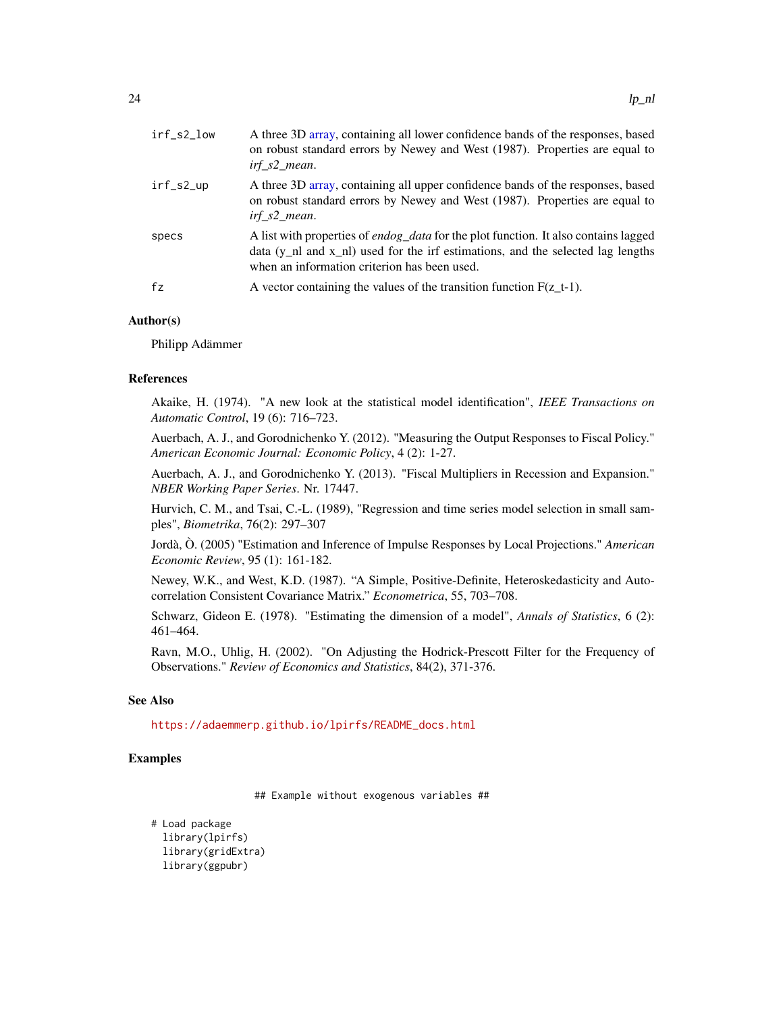<span id="page-23-0"></span>

| irf_s2_low | A three 3D array, containing all lower confidence bands of the responses, based<br>on robust standard errors by Newey and West (1987). Properties are equal to<br>irf s2 mean.                                                          |
|------------|-----------------------------------------------------------------------------------------------------------------------------------------------------------------------------------------------------------------------------------------|
| irf_s2_up  | A three 3D array, containing all upper confidence bands of the responses, based<br>on robust standard errors by Newey and West (1987). Properties are equal to<br>irf s2 mean.                                                          |
| specs      | A list with properties of <i>endog_data</i> for the plot function. It also contains lagged<br>data $(y_n$ and $x_n$ and $y_n$ and for the irf estimations, and the selected lag lengths<br>when an information criterion has been used. |
| fz         | A vector containing the values of the transition function $F(z_t-1)$ .                                                                                                                                                                  |

### Author(s)

Philipp Adämmer

### References

Akaike, H. (1974). "A new look at the statistical model identification", *IEEE Transactions on Automatic Control*, 19 (6): 716–723.

Auerbach, A. J., and Gorodnichenko Y. (2012). "Measuring the Output Responses to Fiscal Policy." *American Economic Journal: Economic Policy*, 4 (2): 1-27.

Auerbach, A. J., and Gorodnichenko Y. (2013). "Fiscal Multipliers in Recession and Expansion." *NBER Working Paper Series*. Nr. 17447.

Hurvich, C. M., and Tsai, C.-L. (1989), "Regression and time series model selection in small samples", *Biometrika*, 76(2): 297–307

Jordà, Ò. (2005) "Estimation and Inference of Impulse Responses by Local Projections." *American Economic Review*, 95 (1): 161-182.

Newey, W.K., and West, K.D. (1987). "A Simple, Positive-Definite, Heteroskedasticity and Autocorrelation Consistent Covariance Matrix." *Econometrica*, 55, 703–708.

Schwarz, Gideon E. (1978). "Estimating the dimension of a model", *Annals of Statistics*, 6 (2): 461–464.

Ravn, M.O., Uhlig, H. (2002). "On Adjusting the Hodrick-Prescott Filter for the Frequency of Observations." *Review of Economics and Statistics*, 84(2), 371-376.

### See Also

[https://adaemmerp.github.io/lpirfs/README\\_docs.html](https://adaemmerp.github.io/lpirfs/README_docs.html)

### Examples

## Example without exogenous variables ##

# Load package library(lpirfs) library(gridExtra) library(ggpubr)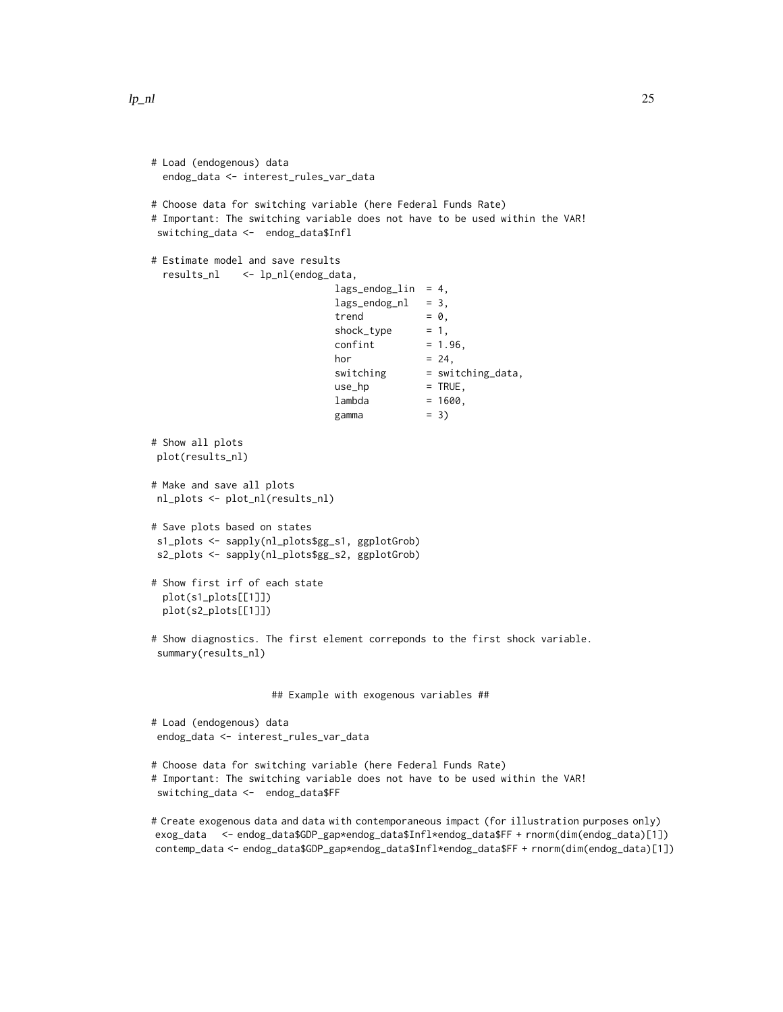```
lp_nl 25
```

```
# Load (endogenous) data
 endog_data <- interest_rules_var_data
# Choose data for switching variable (here Federal Funds Rate)
# Important: The switching variable does not have to be used within the VAR!
switching_data <- endog_data$Infl
# Estimate model and save results
 results_nl <- lp_nl(endog_data,
                              lags_endog_lin = 4,
                              lags\_endog_nl = 3,trend = 0,shock_type = 1,confint = 1.96,
                              hor = 24,
                              switching = switching_data,
                              use_hp = TRUE,lambda = 1600,gamma = 3)
# Show all plots
plot(results_nl)
# Make and save all plots
nl_plots <- plot_nl(results_nl)
# Save plots based on states
s1_plots <- sapply(nl_plots$gg_s1, ggplotGrob)
s2_plots <- sapply(nl_plots$gg_s2, ggplotGrob)
# Show first irf of each state
 plot(s1_plots[[1]])
 plot(s2_plots[[1]])
# Show diagnostics. The first element correponds to the first shock variable.
summary(results_nl)
                    ## Example with exogenous variables ##
# Load (endogenous) data
endog_data <- interest_rules_var_data
# Choose data for switching variable (here Federal Funds Rate)
# Important: The switching variable does not have to be used within the VAR!
switching_data <- endog_data$FF
# Create exogenous data and data with contemporaneous impact (for illustration purposes only)
exog_data <- endog_data$GDP_gap*endog_data$Infl*endog_data$FF + rnorm(dim(endog_data)[1])
contemp_data <- endog_data$GDP_gap*endog_data$Infl*endog_data$FF + rnorm(dim(endog_data)[1])
```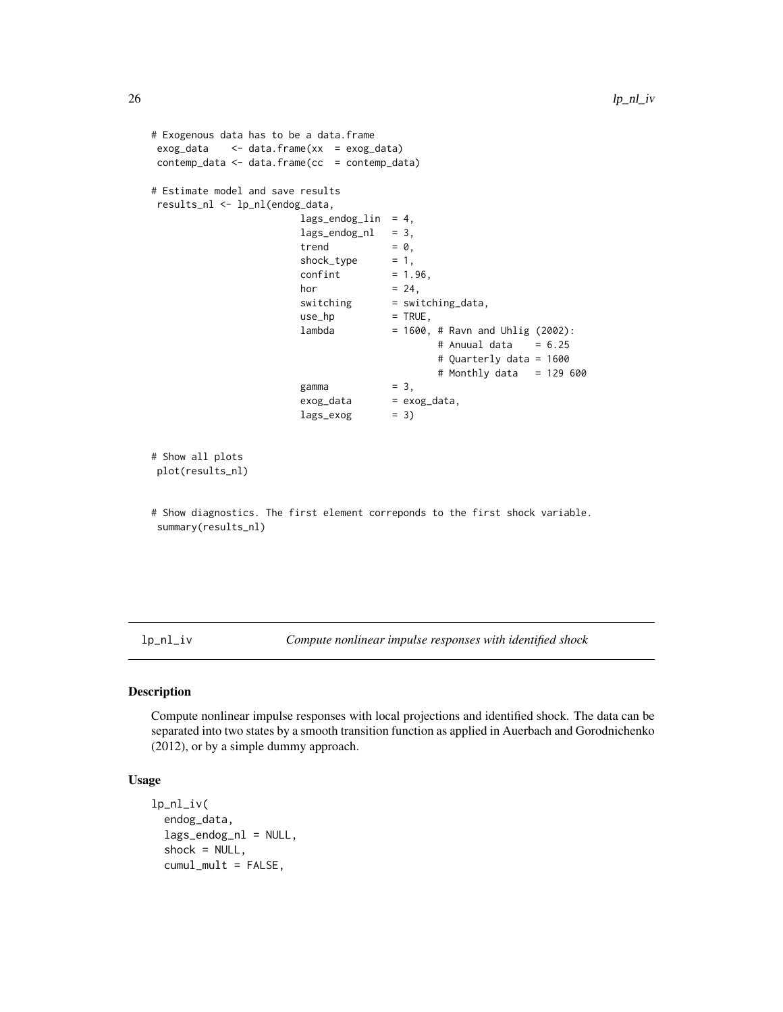```
# Exogenous data has to be a data.frame
exog_data <- data.frame(xx = exog_data)
contemp_data <- data.frame(cc = contemp_data)
# Estimate model and save results
results_nl <- lp_nl(endog_data,
                      lags\_endog\_lin = 4,lags\_endog_nl = 3,trend = 0,shock_type = 1,confint = 1.96,
                      hor = 24,
                      switching = switching_data,
                      use_hp = TRUE,lambda = 1600, # Ravn and Uhlig (2002):
                                            # Anuual data = 6.25
                                            # Quarterly data = 1600
                                            # Monthly data = 129 600
                      gamma = 3,
                      exog_data = exog_data,
                      lags\_exog = 3)
# Show all plots
plot(results_nl)
# Show diagnostics. The first element correponds to the first shock variable.
summary(results_nl)
```
<span id="page-25-1"></span>lp\_nl\_iv *Compute nonlinear impulse responses with identified shock*

### Description

Compute nonlinear impulse responses with local projections and identified shock. The data can be separated into two states by a smooth transition function as applied in Auerbach and Gorodnichenko (2012), or by a simple dummy approach.

### Usage

```
lp_nl_iv(
  endog_data,
  lags_endog_nl = NULL,
  shock = NULL,cumul_mult = FALSE,
```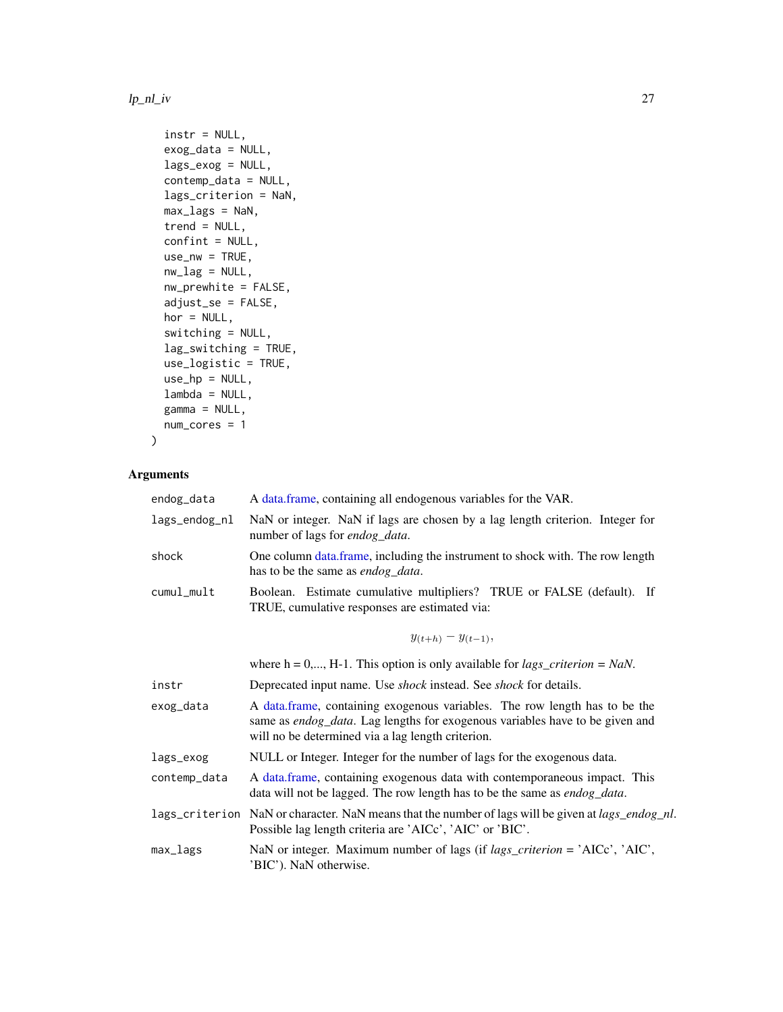### <span id="page-26-0"></span> $lp\_nl\_iv$  27

```
instr = NULL,
exog_data = NULL,
lags_exog = NULL,
contemp_data = NULL,
lags_criterion = NaN,
max_lags = NaN,
trend = NULL,
confint = NULL,
use_nw = TRUE,nw\_lag = NULL,nw_prewhite = FALSE,
adjust_se = FALSE,
hor = NULL,
switching = NULL,
lag_switching = TRUE,
use_logistic = TRUE,
use_hp = NULL,
lambda = NULL,
gamma = NULL,
num_cores = 1
```
### Arguments

)

| endog_data     | A data frame, containing all endogenous variables for the VAR.                                                                                                                                                  |
|----------------|-----------------------------------------------------------------------------------------------------------------------------------------------------------------------------------------------------------------|
| lags_endog_nl  | NaN or integer. NaN if lags are chosen by a lag length criterion. Integer for<br>number of lags for endog_data.                                                                                                 |
| shock          | One column data frame, including the instrument to shock with. The row length<br>has to be the same as endog_data.                                                                                              |
| cumul_mult     | Boolean. Estimate cumulative multipliers? TRUE or FALSE (default). If<br>TRUE, cumulative responses are estimated via:                                                                                          |
|                | $y_{(t+h)} - y_{(t-1)},$                                                                                                                                                                                        |
|                | where $h = 0,, H-1$ . This option is only available for <i>lags_criterion</i> = <i>NaN</i> .                                                                                                                    |
| instr          | Deprecated input name. Use <i>shock</i> instead. See <i>shock</i> for details.                                                                                                                                  |
| exog_data      | A data frame, containing exogenous variables. The row length has to be the<br>same as endog_data. Lag lengths for exogenous variables have to be given and<br>will no be determined via a lag length criterion. |
| lags_exog      | NULL or Integer. Integer for the number of lags for the exogenous data.                                                                                                                                         |
| contemp_data   | A data frame, containing exogenous data with contemporaneous impact. This<br>data will not be lagged. The row length has to be the same as <i>endog_data</i> .                                                  |
| lags_criterion | NaN or character. NaN means that the number of lags will be given at <i>lags_endog_nl</i> .<br>Possible lag length criteria are 'AICc', 'AIC' or 'BIC'.                                                         |
| max_lags       | NaN or integer. Maximum number of lags (if $lags\_criterion = 'AICc', 'AIC',$<br>'BIC'). NaN otherwise.                                                                                                         |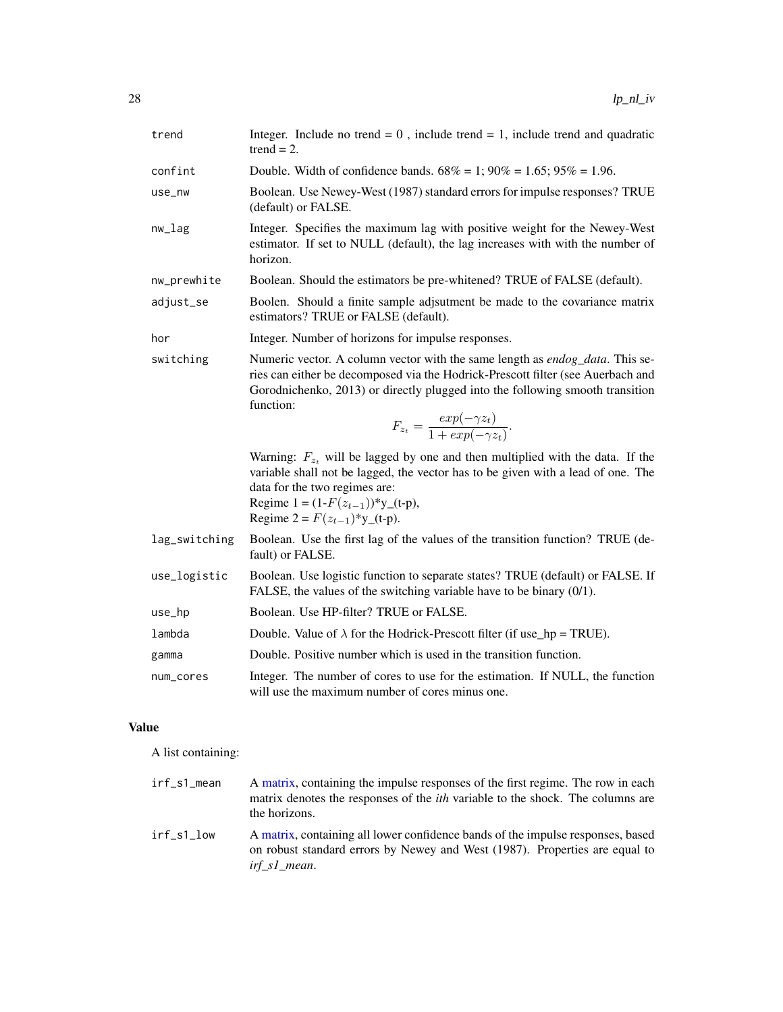<span id="page-27-0"></span>

| trend         | Integer. Include no trend = $0$ , include trend = 1, include trend and quadratic<br>$trend = 2.$                                                                                                                                                                                          |
|---------------|-------------------------------------------------------------------------------------------------------------------------------------------------------------------------------------------------------------------------------------------------------------------------------------------|
| confint       | Double. Width of confidence bands. $68\% = 1$ ; $90\% = 1.65$ ; $95\% = 1.96$ .                                                                                                                                                                                                           |
| use_nw        | Boolean. Use Newey-West (1987) standard errors for impulse responses? TRUE<br>(default) or FALSE.                                                                                                                                                                                         |
| $nw\_lag$     | Integer. Specifies the maximum lag with positive weight for the Newey-West<br>estimator. If set to NULL (default), the lag increases with with the number of<br>horizon.                                                                                                                  |
| nw_prewhite   | Boolean. Should the estimators be pre-whitened? TRUE of FALSE (default).                                                                                                                                                                                                                  |
| adjust_se     | Boolen. Should a finite sample adjsutment be made to the covariance matrix<br>estimators? TRUE or FALSE (default).                                                                                                                                                                        |
| hor           | Integer. Number of horizons for impulse responses.                                                                                                                                                                                                                                        |
| switching     | Numeric vector. A column vector with the same length as endog_data. This se-<br>ries can either be decomposed via the Hodrick-Prescott filter (see Auerbach and<br>Gorodnichenko, 2013) or directly plugged into the following smooth transition<br>function:                             |
|               | $F_{z_t} = \frac{exp(-\gamma z_t)}{1 + exp(-\gamma z_t)}.$                                                                                                                                                                                                                                |
|               | Warning: $F_{z_t}$ will be lagged by one and then multiplied with the data. If the<br>variable shall not be lagged, the vector has to be given with a lead of one. The<br>data for the two regimes are:<br>Regime $1 = (1 - F(z_{t-1}))^*$ y_(t-p),<br>Regime $2 = F(z_{t-1})^*$ y_(t-p). |
| lag_switching | Boolean. Use the first lag of the values of the transition function? TRUE (de-<br>fault) or FALSE.                                                                                                                                                                                        |
| use_logistic  | Boolean. Use logistic function to separate states? TRUE (default) or FALSE. If<br>FALSE, the values of the switching variable have to be binary $(0/1)$ .                                                                                                                                 |
| use_hp        | Boolean. Use HP-filter? TRUE or FALSE.                                                                                                                                                                                                                                                    |
| lambda        | Double. Value of $\lambda$ for the Hodrick-Prescott filter (if use $hp = TRUE$ ).                                                                                                                                                                                                         |
| gamma         | Double. Positive number which is used in the transition function.                                                                                                                                                                                                                         |
| num_cores     | Integer. The number of cores to use for the estimation. If NULL, the function<br>will use the maximum number of cores minus one.                                                                                                                                                          |
| Value         |                                                                                                                                                                                                                                                                                           |

A list containing:

| irf_s1_mean | A matrix, containing the impulse responses of the first regime. The row in each<br>matrix denotes the responses of the <i>ith</i> variable to the shock. The columns are<br>the horizons. |
|-------------|-------------------------------------------------------------------------------------------------------------------------------------------------------------------------------------------|
| irf s1 low  | A matrix, containing all lower confidence bands of the impulse responses, based<br>on robust standard errors by Newey and West (1987). Properties are equal to<br>irf_s1_mean.            |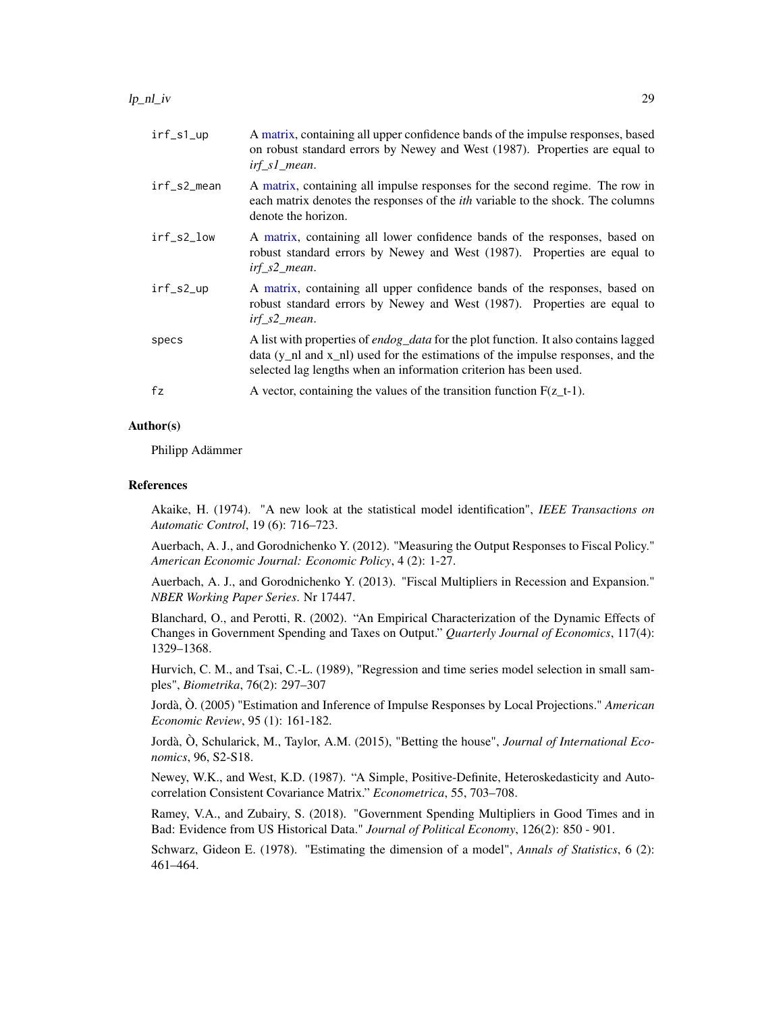<span id="page-28-0"></span>

| irf_s1_up   | A matrix, containing all upper confidence bands of the impulse responses, based<br>on robust standard errors by Newey and West (1987). Properties are equal to<br>$irf$ <sub>_S</sub> $l$ <sub>_</sub> mean.                                             |
|-------------|----------------------------------------------------------------------------------------------------------------------------------------------------------------------------------------------------------------------------------------------------------|
| irf_s2_mean | A matrix, containing all impulse responses for the second regime. The row in<br>each matrix denotes the responses of the <i>ith</i> variable to the shock. The columns<br>denote the horizon.                                                            |
| irf_s2_low  | A matrix, containing all lower confidence bands of the responses, based on<br>robust standard errors by Newey and West (1987). Properties are equal to<br>$irf_s2_mean$ .                                                                                |
| irf_s2_up   | A matrix, containing all upper confidence bands of the responses, based on<br>robust standard errors by Newey and West (1987). Properties are equal to<br>$irf_s2_mean$ .                                                                                |
| specs       | A list with properties of <i>endog_data</i> for the plot function. It also contains lagged<br>data $(y_n$ and $x_n$ and $y_n$ and the estimations of the impulse responses, and the<br>selected lag lengths when an information criterion has been used. |
| fz          | A vector, containing the values of the transition function $F(z_t-1)$ .                                                                                                                                                                                  |

### Author(s)

Philipp Adämmer

### References

Akaike, H. (1974). "A new look at the statistical model identification", *IEEE Transactions on Automatic Control*, 19 (6): 716–723.

Auerbach, A. J., and Gorodnichenko Y. (2012). "Measuring the Output Responses to Fiscal Policy." *American Economic Journal: Economic Policy*, 4 (2): 1-27.

Auerbach, A. J., and Gorodnichenko Y. (2013). "Fiscal Multipliers in Recession and Expansion." *NBER Working Paper Series*. Nr 17447.

Blanchard, O., and Perotti, R. (2002). "An Empirical Characterization of the Dynamic Effects of Changes in Government Spending and Taxes on Output." *Quarterly Journal of Economics*, 117(4): 1329–1368.

Hurvich, C. M., and Tsai, C.-L. (1989), "Regression and time series model selection in small samples", *Biometrika*, 76(2): 297–307

Jordà, Ò. (2005) "Estimation and Inference of Impulse Responses by Local Projections." *American Economic Review*, 95 (1): 161-182.

Jordà, Ò, Schularick, M., Taylor, A.M. (2015), "Betting the house", *Journal of International Economics*, 96, S2-S18.

Newey, W.K., and West, K.D. (1987). "A Simple, Positive-Definite, Heteroskedasticity and Autocorrelation Consistent Covariance Matrix." *Econometrica*, 55, 703–708.

Ramey, V.A., and Zubairy, S. (2018). "Government Spending Multipliers in Good Times and in Bad: Evidence from US Historical Data." *Journal of Political Economy*, 126(2): 850 - 901.

Schwarz, Gideon E. (1978). "Estimating the dimension of a model", *Annals of Statistics*, 6 (2): 461–464.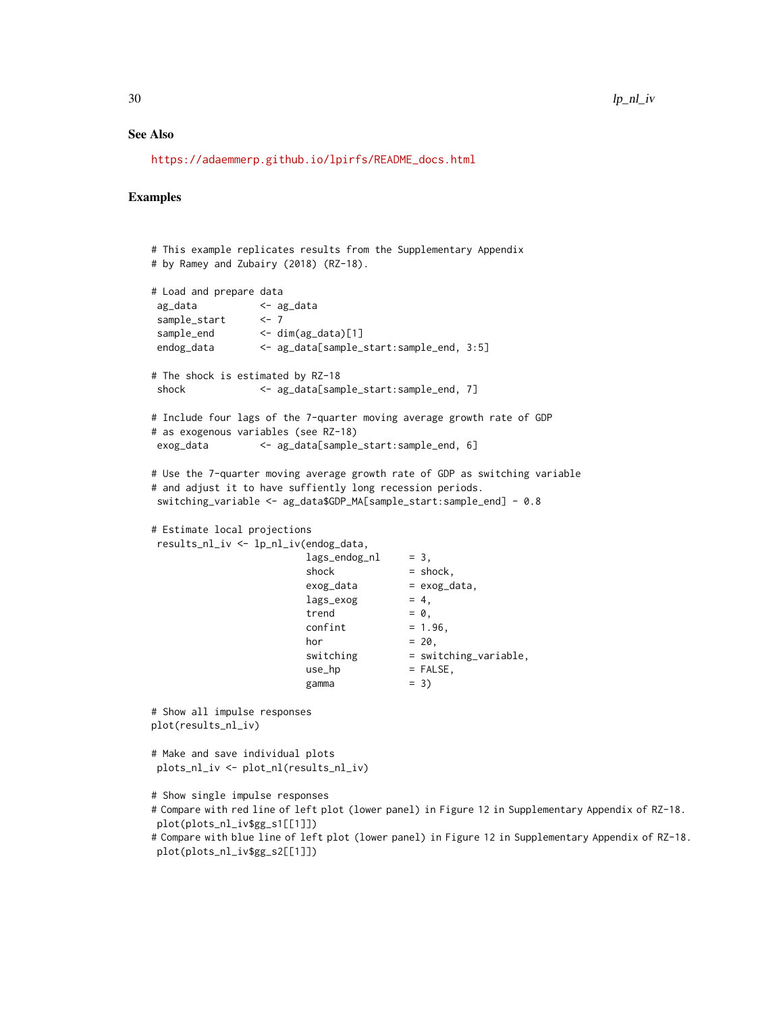### See Also

[https://adaemmerp.github.io/lpirfs/README\\_docs.html](https://adaemmerp.github.io/lpirfs/README_docs.html)

### Examples

```
# This example replicates results from the Supplementary Appendix
# by Ramey and Zubairy (2018) (RZ-18).
# Load and prepare data
ag_data <- ag_data
sample_start <- 7
sample_end <- dim(ag_data)[1]
endog_data <- ag_data[sample_start:sample_end, 3:5]
# The shock is estimated by RZ-18
shock <- ag_data[sample_start:sample_end, 7]
# Include four lags of the 7-quarter moving average growth rate of GDP
# as exogenous variables (see RZ-18)
exog_data <- ag_data[sample_start:sample_end, 6]
# Use the 7-quarter moving average growth rate of GDP as switching variable
# and adjust it to have suffiently long recession periods.
switching_variable <- ag_data$GDP_MA[sample_start:sample_end] - 0.8
# Estimate local projections
results_nl_iv <- lp_nl_iv(endog_data,
                         lags\_endog_nl = 3,shock = shock,
                         exog\_data = exog\_data,<br>lags\_exog = 4,
                         lags\_exogtrend = 0,confint = 1.96,
                         hor = 20,
                         switching = switching_variable,
                         use_hp = FALSE,
                         gamma = 3)
# Show all impulse responses
plot(results_nl_iv)
# Make and save individual plots
plots_nl_iv <- plot_nl(results_nl_iv)
# Show single impulse responses
# Compare with red line of left plot (lower panel) in Figure 12 in Supplementary Appendix of RZ-18.
plot(plots_nl_iv$gg_s1[[1]])
# Compare with blue line of left plot (lower panel) in Figure 12 in Supplementary Appendix of RZ-18.
plot(plots_nl_iv$gg_s2[[1]])
```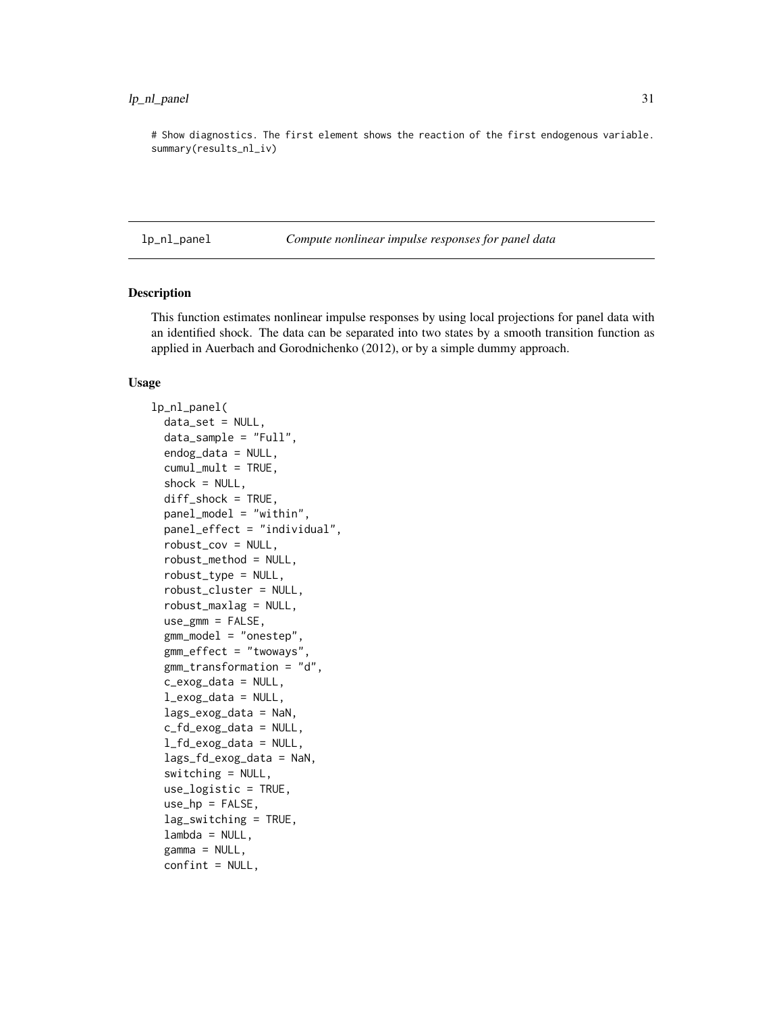<span id="page-30-0"></span># Show diagnostics. The first element shows the reaction of the first endogenous variable. summary(results\_nl\_iv)

lp\_nl\_panel *Compute nonlinear impulse responses for panel data*

### Description

This function estimates nonlinear impulse responses by using local projections for panel data with an identified shock. The data can be separated into two states by a smooth transition function as applied in Auerbach and Gorodnichenko (2012), or by a simple dummy approach.

### Usage

```
lp_nl_panel(
  data_set = NULL,
  data_sample = "Full",
  endog_data = NULL,
  cumul_mult = TRUE,shock = NULL,diff_shock = TRUE,
  panel_model = "within",
  panel_effect = "individual",
  robust_cov = NULL,
  robust_method = NULL,
  robust_type = NULL,
  robust_cluster = NULL,
  robust_maxlag = NULL,
  use\_gmm = FALSE,gmm_model = "onestep",
  gmm_effect = "twoways",
  gmm_transformation = "d",
  c_exog_data = NULL,
  l_exog_data = NULL,
  lags_exog_data = NaN,
  c_fd_exog_data = NULL,
  l_fd_exog_data = NULL,
  lags_fd_exog_data = NaN,
  switching = NULL,
  use_logistic = TRUE,
  use_hp = FALSE,lag_switching = TRUE,
  lambda = NULL,gamma = NULL,confint = NULL,
```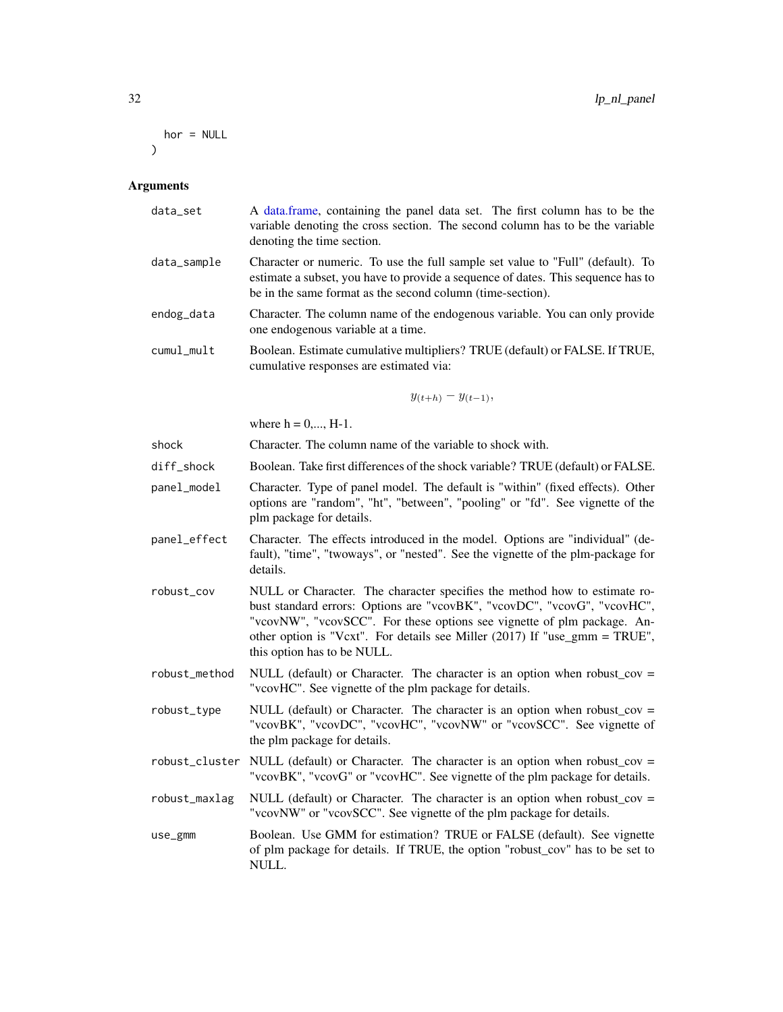```
hor = NULL
\mathcal{L}
```

| data_set      | A data.frame, containing the panel data set. The first column has to be the<br>variable denoting the cross section. The second column has to be the variable<br>denoting the time section.                                                                                                                                                    |
|---------------|-----------------------------------------------------------------------------------------------------------------------------------------------------------------------------------------------------------------------------------------------------------------------------------------------------------------------------------------------|
| data_sample   | Character or numeric. To use the full sample set value to "Full" (default). To<br>estimate a subset, you have to provide a sequence of dates. This sequence has to<br>be in the same format as the second column (time-section).                                                                                                              |
| endog_data    | Character. The column name of the endogenous variable. You can only provide<br>one endogenous variable at a time.                                                                                                                                                                                                                             |
| cumul_mult    | Boolean. Estimate cumulative multipliers? TRUE (default) or FALSE. If TRUE,<br>cumulative responses are estimated via:                                                                                                                                                                                                                        |
|               | $y_{(t+h)} - y_{(t-1)},$                                                                                                                                                                                                                                                                                                                      |
|               | where $h = 0, , H-1$ .                                                                                                                                                                                                                                                                                                                        |
| shock         | Character. The column name of the variable to shock with.                                                                                                                                                                                                                                                                                     |
| diff_shock    | Boolean. Take first differences of the shock variable? TRUE (default) or FALSE.                                                                                                                                                                                                                                                               |
| panel_model   | Character. Type of panel model. The default is "within" (fixed effects). Other<br>options are "random", "ht", "between", "pooling" or "fd". See vignette of the<br>plm package for details.                                                                                                                                                   |
| panel_effect  | Character. The effects introduced in the model. Options are "individual" (de-<br>fault), "time", "twoways", or "nested". See the vignette of the plm-package for<br>details.                                                                                                                                                                  |
| robust_cov    | NULL or Character. The character specifies the method how to estimate ro-<br>bust standard errors: Options are "vcovBK", "vcovDC", "vcovG", "vcovHC",<br>"vcovNW", "vcovSCC". For these options see vignette of plm package. An-<br>other option is "Vcxt". For details see Miller (2017) If "use_gmm = TRUE",<br>this option has to be NULL. |
| robust_method | NULL (default) or Character. The character is an option when robust_cov =<br>"vcovHC". See vignette of the plm package for details.                                                                                                                                                                                                           |
| robust_type   | NULL (default) or Character. The character is an option when robust_cov =<br>"vcovBK", "vcovDC", "vcovHC", "vcovNW" or "vcovSCC". See vignette of<br>the plm package for details.                                                                                                                                                             |
|               | robust_cluster NULL (default) or Character. The character is an option when robust_cov =<br>"vcovBK", "vcovG" or "vcovHC". See vignette of the plm package for details.                                                                                                                                                                       |
| robust_maxlag | NULL (default) or Character. The character is an option when robust_cov =<br>"vcovNW" or "vcovSCC". See vignette of the plm package for details.                                                                                                                                                                                              |
| use_gmm       | Boolean. Use GMM for estimation? TRUE or FALSE (default). See vignette<br>of plm package for details. If TRUE, the option "robust_cov" has to be set to<br>NULL.                                                                                                                                                                              |
|               |                                                                                                                                                                                                                                                                                                                                               |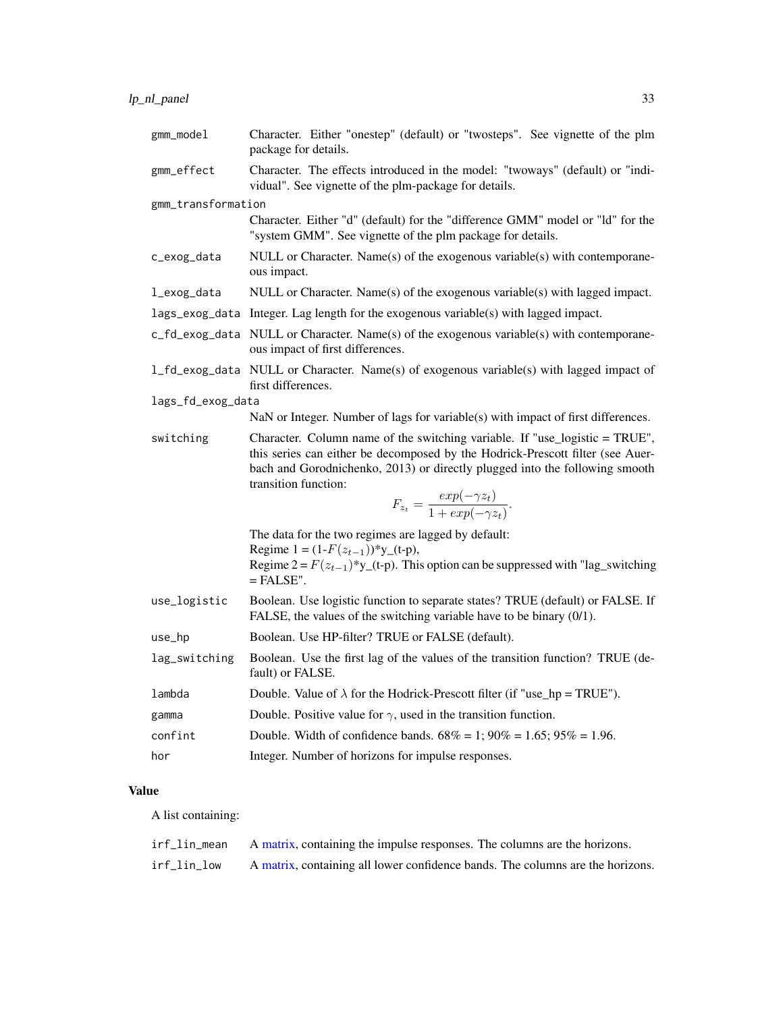<span id="page-32-0"></span>

| Character. Either "onestep" (default) or "twosteps". See vignette of the plm<br>package for details.                                                                                                                                                                                                                               |
|------------------------------------------------------------------------------------------------------------------------------------------------------------------------------------------------------------------------------------------------------------------------------------------------------------------------------------|
| Character. The effects introduced in the model: "twoways" (default) or "indi-<br>vidual". See vignette of the plm-package for details.                                                                                                                                                                                             |
| gmm_transformation                                                                                                                                                                                                                                                                                                                 |
| Character. Either "d" (default) for the "difference GMM" model or "ld" for the<br>"system GMM". See vignette of the plm package for details.                                                                                                                                                                                       |
| NULL or Character. Name(s) of the exogenous variable(s) with contemporane-<br>ous impact.                                                                                                                                                                                                                                          |
| NULL or Character. Name(s) of the exogenous variable(s) with lagged impact.                                                                                                                                                                                                                                                        |
| Integer. Lag length for the exogenous variable(s) with lagged impact.                                                                                                                                                                                                                                                              |
| NULL or Character. Name(s) of the exogenous variable(s) with contemporane-<br>ous impact of first differences.                                                                                                                                                                                                                     |
| 1_fd_exog_data NULL or Character. Name(s) of exogenous variable(s) with lagged impact of<br>first differences.                                                                                                                                                                                                                     |
| lags_fd_exog_data                                                                                                                                                                                                                                                                                                                  |
| NaN or Integer. Number of lags for variable(s) with impact of first differences.                                                                                                                                                                                                                                                   |
| Character. Column name of the switching variable. If "use_logistic = TRUE",<br>this series can either be decomposed by the Hodrick-Prescott filter (see Auer-<br>bach and Gorodnichenko, 2013) or directly plugged into the following smooth<br>transition function:<br>$F_{z_t} = \frac{exp(-\gamma z_t)}{1 + exp(-\gamma z_t)}.$ |
| The data for the two regimes are lagged by default:                                                                                                                                                                                                                                                                                |
| Regime $1 = (1 - F(z_{t-1})) \times y_{t-1}(-p)$ ,<br>Regime $2 = F(z_{t-1})^*y_{t-1}$ (t-p). This option can be suppressed with "lag_switching"<br>$=$ FALSE".                                                                                                                                                                    |
| Boolean. Use logistic function to separate states? TRUE (default) or FALSE. If<br>FALSE, the values of the switching variable have to be binary (0/1).                                                                                                                                                                             |
| Boolean. Use HP-filter? TRUE or FALSE (default).                                                                                                                                                                                                                                                                                   |
| Boolean. Use the first lag of the values of the transition function? TRUE (de-<br>fault) or FALSE.                                                                                                                                                                                                                                 |
| Double. Value of $\lambda$ for the Hodrick-Prescott filter (if "use_hp = TRUE").                                                                                                                                                                                                                                                   |
| Double. Positive value for $\gamma$ , used in the transition function.                                                                                                                                                                                                                                                             |
| Double. Width of confidence bands. $68\% = 1$ ; $90\% = 1.65$ ; $95\% = 1.96$ .                                                                                                                                                                                                                                                    |
| Integer. Number of horizons for impulse responses.                                                                                                                                                                                                                                                                                 |
|                                                                                                                                                                                                                                                                                                                                    |

### Value

A list containing:

| irf_lin_mean | A matrix, containing the impulse responses. The columns are the horizons.      |
|--------------|--------------------------------------------------------------------------------|
| irf_lin_low  | A matrix, containing all lower confidence bands. The columns are the horizons. |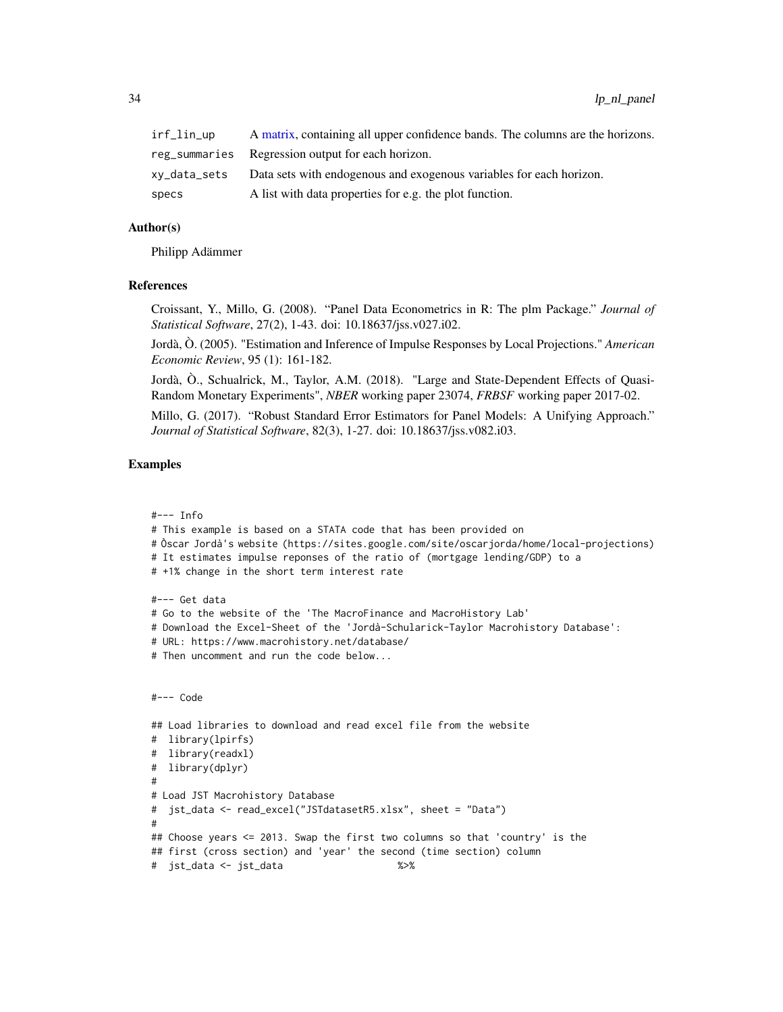<span id="page-33-0"></span>

| irf_lin_up | A matrix, containing all upper confidence bands. The columns are the horizons.   |
|------------|----------------------------------------------------------------------------------|
|            | reg_summaries  Regression output for each horizon.                               |
|            | xy_data_sets Data sets with endogenous and exogenous variables for each horizon. |
| specs      | A list with data properties for e.g. the plot function.                          |

### Author(s)

Philipp Adämmer

### References

Croissant, Y., Millo, G. (2008). "Panel Data Econometrics in R: The plm Package." *Journal of Statistical Software*, 27(2), 1-43. doi: 10.18637/jss.v027.i02.

Jordà, Ò. (2005). "Estimation and Inference of Impulse Responses by Local Projections." *American Economic Review*, 95 (1): 161-182.

Jordà, Ò., Schualrick, M., Taylor, A.M. (2018). "Large and State-Dependent Effects of Quasi-Random Monetary Experiments", *NBER* working paper 23074, *FRBSF* working paper 2017-02.

Millo, G. (2017). "Robust Standard Error Estimators for Panel Models: A Unifying Approach." *Journal of Statistical Software*, 82(3), 1-27. doi: 10.18637/jss.v082.i03.

### Examples

```
#--- Info
```
- # This example is based on a STATA code that has been provided on
- # Òscar Jordà's website (https://sites.google.com/site/oscarjorda/home/local-projections)
- # It estimates impulse reponses of the ratio of (mortgage lending/GDP) to a

```
# +1% change in the short term interest rate
```
#--- Get data

- # Go to the website of the 'The MacroFinance and MacroHistory Lab'
- # Download the Excel-Sheet of the 'Jordà-Schularick-Taylor Macrohistory Database':
- # URL: https://www.macrohistory.net/database/
- # Then uncomment and run the code below...

```
#--- Code
```

```
## Load libraries to download and read excel file from the website
# library(lpirfs)
# library(readxl)
# library(dplyr)
#
# Load JST Macrohistory Database
# jst_data <- read_excel("JSTdatasetR5.xlsx", sheet = "Data")
#
## Choose years <= 2013. Swap the first two columns so that 'country' is the
## first (cross section) and 'year' the second (time section) column
# jst_data <- jst_data %>%
```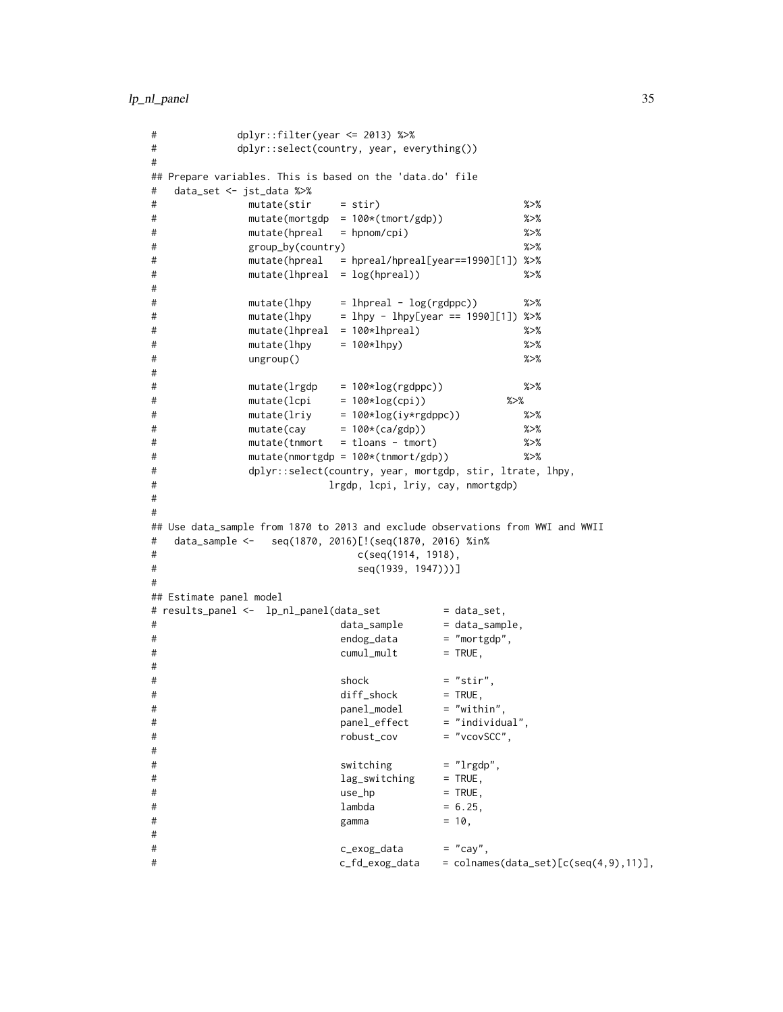lp\_nl\_panel 35

```
# dplyr::filter(year <= 2013) %>%
# dplyr::select(country, year, everything())
#
## Prepare variables. This is based on the 'data.do' file
# data_set <- jst_data %>%
# mutate(stir = stir) %>%
# mutate(mortgdp = 100*(tmort/gdp)) %>%
# mutate(hpreal = hpnom/cpi) %>%
# group_by(country) %>%
# mutate(hpreal = hpreal/hpreal[year==1990][1]) %>%
# mutate(lhpreal = log(hpreal)) %>%
#
# mutate(lhpy = lhpreal - log(rgdppc)) %>%
# mutate(lhpy = lhpy - lhpy[year == 1990][1]) %>%
# mutate(lhpreal = 100*lhpreal) %>%
# mutate(lhpy = 100*lhpy) %>%
# ungroup() %>%
#
# mutate(lrgdp = 100*log(rgdppc)) %>%
# mutate(lcpi = 100*log(cpi)) %>%
# mutate(lriy = 100*log(iy*rgdppc)) %>%
# mutate(cay = 100*(ca/gdp)) %>%
# mutate(tnmort = tloans - tmort) %>%
# mutate(nmortgdp = 100*(tnmort/gdp)) %>%
# dplyr::select(country, year, mortgdp, stir, ltrate, lhpy,
# lrgdp, lcpi, lriy, cay, nmortgdp)
#
#
## Use data_sample from 1870 to 2013 and exclude observations from WWI and WWII
# data_sample <- seq(1870, 2016)[!(seq(1870, 2016) %in%
# c(seq(1914, 1918),
# seq(1939, 1947)))]
#
## Estimate panel model
# results_panel <- lp_nl_panel(data_set = data_set,
# data_sample = data_sample,
# endog_data = "mortgdp",
\# cumul_mult = TRUE,
#
\# shock = "stir",
# diff_shock = TRUE,
# panel_model = "within",
# panel_effect = "individual",
# robust_cov = "vcovSCC",
#
# switching = "lrgdp",
# lag_switching = TRUE,
\# use_hp = TRUE,
\# lambda = 6.25,
\# gamma = 10,
#
# c_exog_data = "cay",
# c_fd_exog_data = colnames(data_set)[c(seq(4,9),11)],
```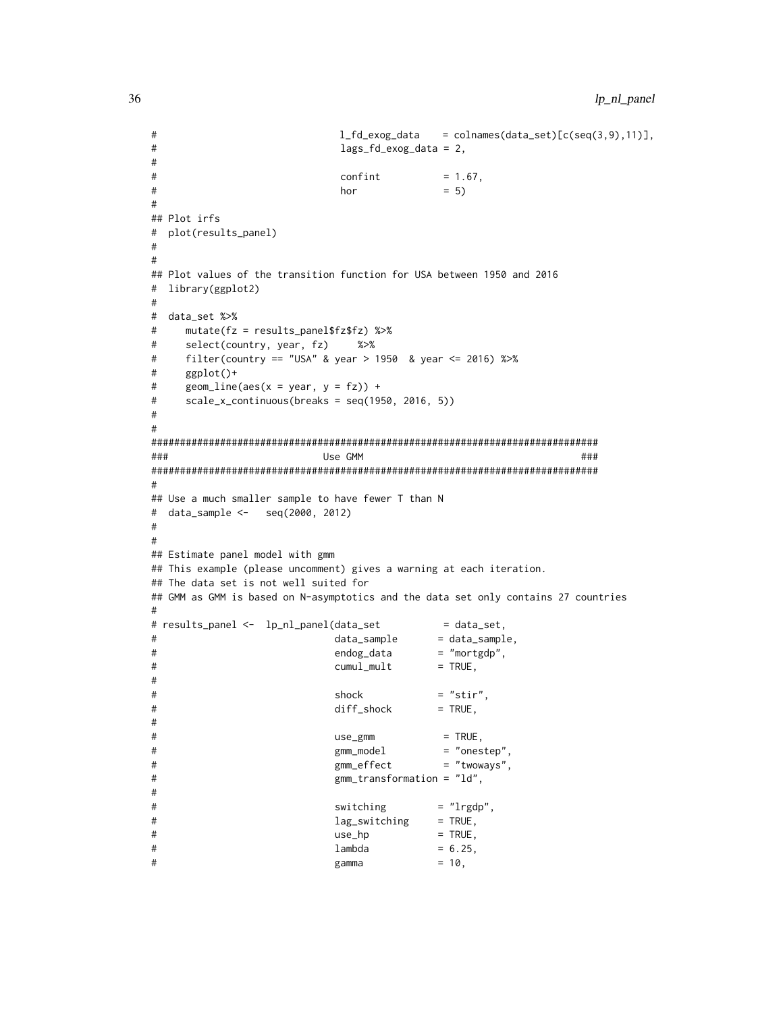```
# l_fd_exog_data = colnames(data_set)[c(seq(3,9),11)],
# lags_fd_exog_data = 2,
#
# confint = 1.67,
\# hor = 5)#
## Plot irfs
# plot(results_panel)
#
#
## Plot values of the transition function for USA between 1950 and 2016
# library(ggplot2)
#
# data_set %>%
# mutate(fz = results_panel$fz$fz) %>%
# select(country, year, fz) %>%
# filter(country == "USA" & year > 1950 & year <= 2016) %>%
# ggplot()+
# geom_line(aes(x = year, y = fz)) +
# scale_x_continuous(breaks = seq(1950, 2016, 5))
#
#
##############################################################################
### Use GMM ###
##############################################################################
#
## Use a much smaller sample to have fewer T than N
# data_sample <- seq(2000, 2012)
#
#
## Estimate panel model with gmm
## This example (please uncomment) gives a warning at each iteration.
## The data set is not well suited for
## GMM as GMM is based on N-asymptotics and the data set only contains 27 countries
#
# results_panel <- lp_nl_panel(data_set = data_set,
# data_sample = data_sample,
# endog_data = "mortgdp",
\# cumul_mult = TRUE,
#
\# shock = "stir",
# diff_shock = TRUE,
#
# use_gmm = TRUE,# gmm_model = "onestep",
# gmm_effect = "twoways",
# gmm_transformation = "ld",
#
# switching = "lrgdp",
# lag_switching = TRUE,
\# use_hp = TRUE,
# lambda = 6.25,
\# gamma = 10,
```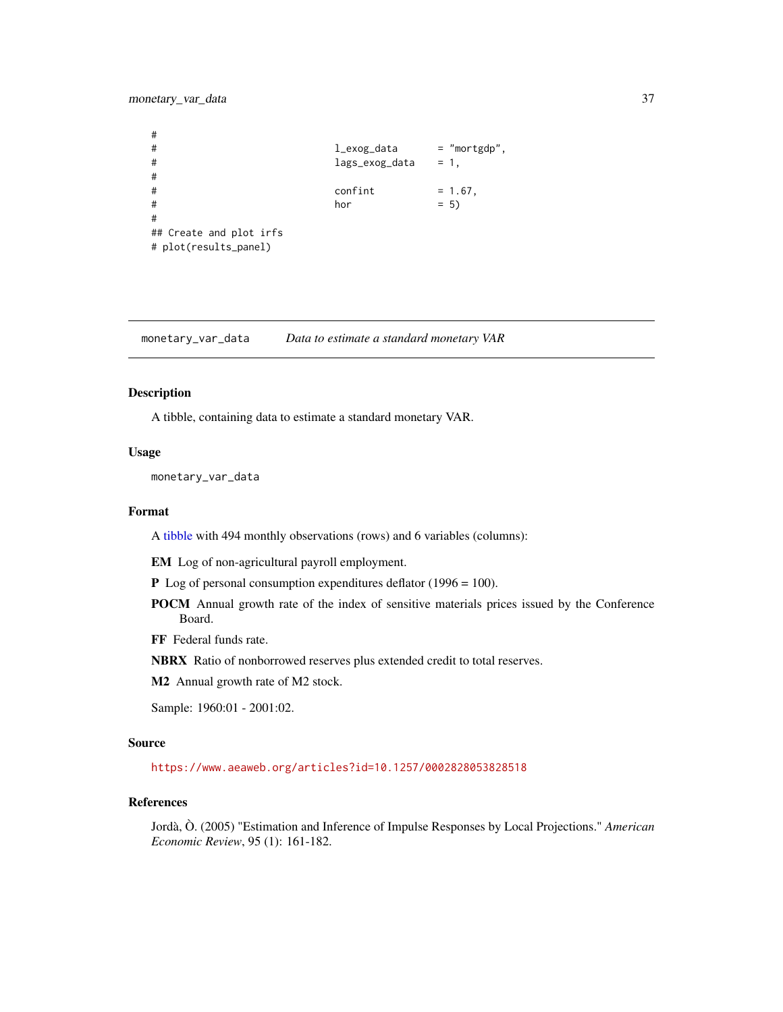### <span id="page-36-0"></span>monetary\_var\_data 37

# # l\_exog\_data = "mortgdp", # lags\_exog\_data = 1, #  $\#$  confint = 1.67,  $\#$  hor  $= 5)$ # ## Create and plot irfs # plot(results\_panel)

monetary\_var\_data *Data to estimate a standard monetary VAR*

### Description

A tibble, containing data to estimate a standard monetary VAR.

### Usage

monetary\_var\_data

### Format

A [tibble](#page-0-0) with 494 monthly observations (rows) and 6 variables (columns):

EM Log of non-agricultural payroll employment.

- P Log of personal consumption expenditures deflator (1996 = 100).
- POCM Annual growth rate of the index of sensitive materials prices issued by the Conference Board.
- FF Federal funds rate.
- NBRX Ratio of nonborrowed reserves plus extended credit to total reserves.

M2 Annual growth rate of M2 stock.

Sample: 1960:01 - 2001:02.

### Source

<https://www.aeaweb.org/articles?id=10.1257/0002828053828518>

### References

Jordà, Ò. (2005) "Estimation and Inference of Impulse Responses by Local Projections." *American Economic Review*, 95 (1): 161-182.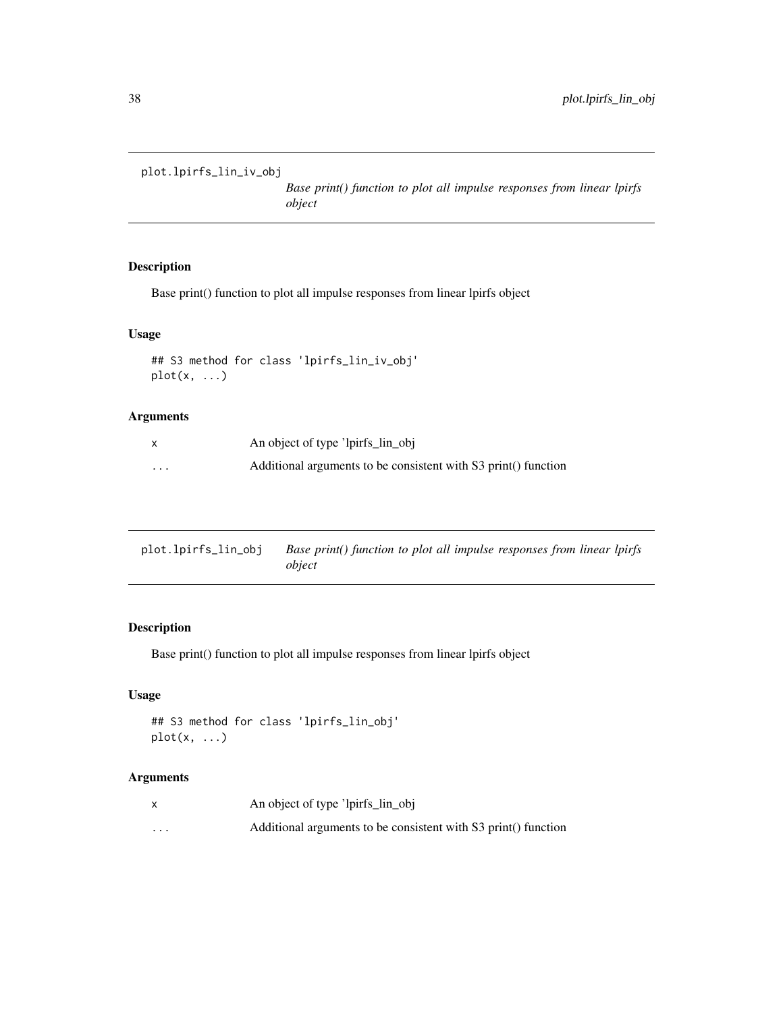```
plot.lpirfs_lin_iv_obj
```
*Base print() function to plot all impulse responses from linear lpirfs object*

### Description

Base print() function to plot all impulse responses from linear lpirfs object

### Usage

```
## S3 method for class 'lpirfs_lin_iv_obj'
plot(x, ...)
```
### Arguments

|         | An object of type 'lpirfs_lin_obj                              |
|---------|----------------------------------------------------------------|
| $\cdot$ | Additional arguments to be consistent with S3 print() function |

| plot.lpirfs_lin_obj | Base print() function to plot all impulse responses from linear lpirfs |  |
|---------------------|------------------------------------------------------------------------|--|
|                     | object                                                                 |  |

### Description

Base print() function to plot all impulse responses from linear lpirfs object

### Usage

```
## S3 method for class 'lpirfs_lin_obj'
plot(x, ...)
```

|          | An object of type 'lpirfs_lin_obj                              |
|----------|----------------------------------------------------------------|
| $\cdots$ | Additional arguments to be consistent with S3 print() function |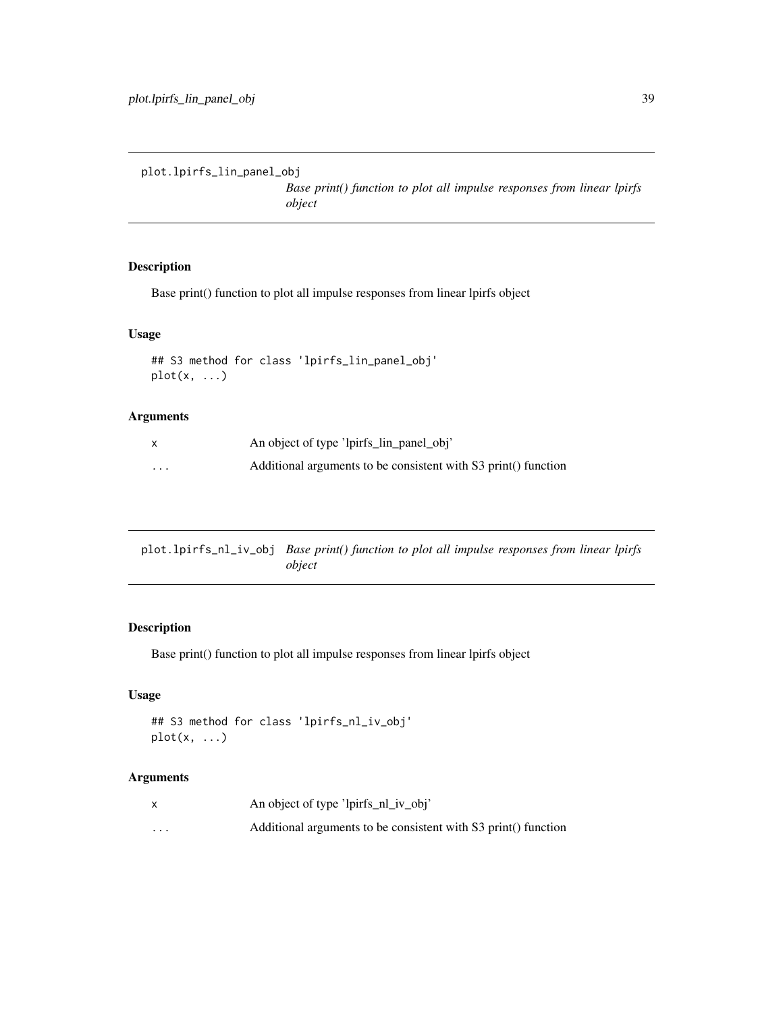```
plot.lpirfs_lin_panel_obj
```
*Base print() function to plot all impulse responses from linear lpirfs object*

### Description

Base print() function to plot all impulse responses from linear lpirfs object

### Usage

```
## S3 method for class 'lpirfs_lin_panel_obj'
plot(x, ...)
```
### Arguments

|          | An object of type 'lpirfs_lin_panel_obj'                       |
|----------|----------------------------------------------------------------|
| $\cdots$ | Additional arguments to be consistent with S3 print() function |

plot.lpirfs\_nl\_iv\_obj *Base print() function to plot all impulse responses from linear lpirfs object*

### Description

Base print() function to plot all impulse responses from linear lpirfs object

### Usage

```
## S3 method for class 'lpirfs_nl_iv_obj'
plot(x, ...)
```

|                      | An object of type 'lpirfs_nl_iv_obj'                           |
|----------------------|----------------------------------------------------------------|
| $\ddot{\phantom{0}}$ | Additional arguments to be consistent with S3 print() function |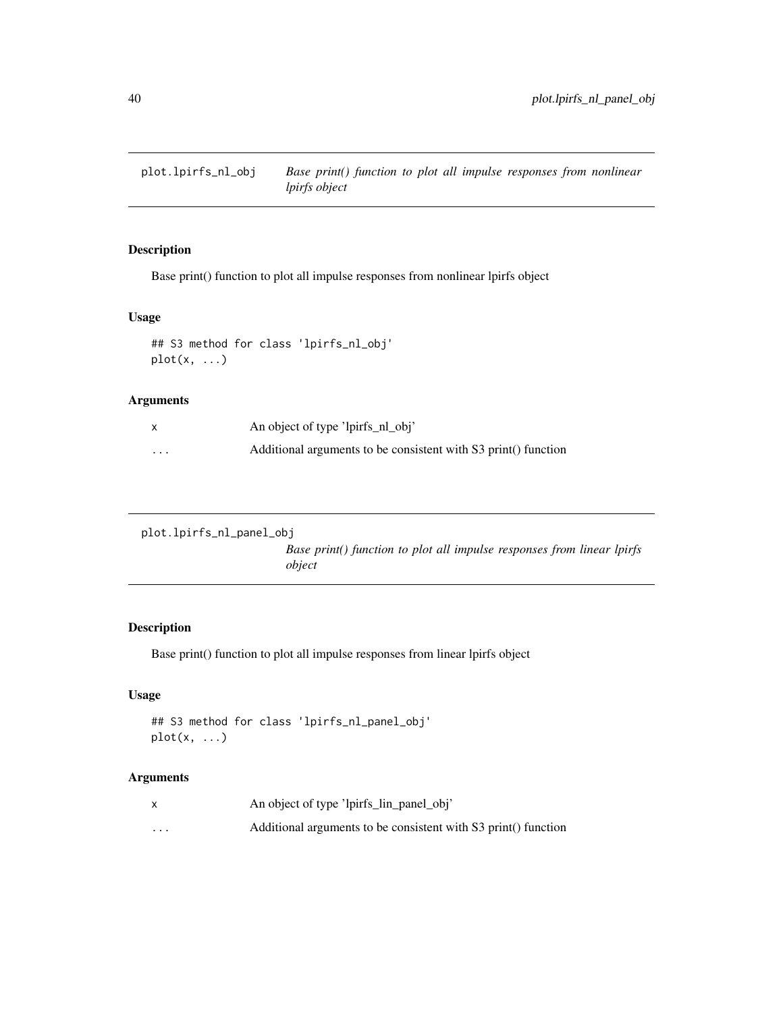<span id="page-39-0"></span>plot.lpirfs\_nl\_obj *Base print() function to plot all impulse responses from nonlinear lpirfs object*

### Description

Base print() function to plot all impulse responses from nonlinear lpirfs object

### Usage

```
## S3 method for class 'lpirfs_nl_obj'
plot(x, \ldots)
```
### Arguments

| X        | An object of type 'lpirfs_nl_obj'                              |
|----------|----------------------------------------------------------------|
| $\cdots$ | Additional arguments to be consistent with S3 print() function |

```
plot.lpirfs_nl_panel_obj
```
*Base print() function to plot all impulse responses from linear lpirfs object*

### Description

Base print() function to plot all impulse responses from linear lpirfs object

### Usage

```
## S3 method for class 'lpirfs_nl_panel_obj'
plot(x, ...)
```

|                      | An object of type 'lpirfs_lin_panel_obj'                       |
|----------------------|----------------------------------------------------------------|
| $\ddot{\phantom{0}}$ | Additional arguments to be consistent with S3 print() function |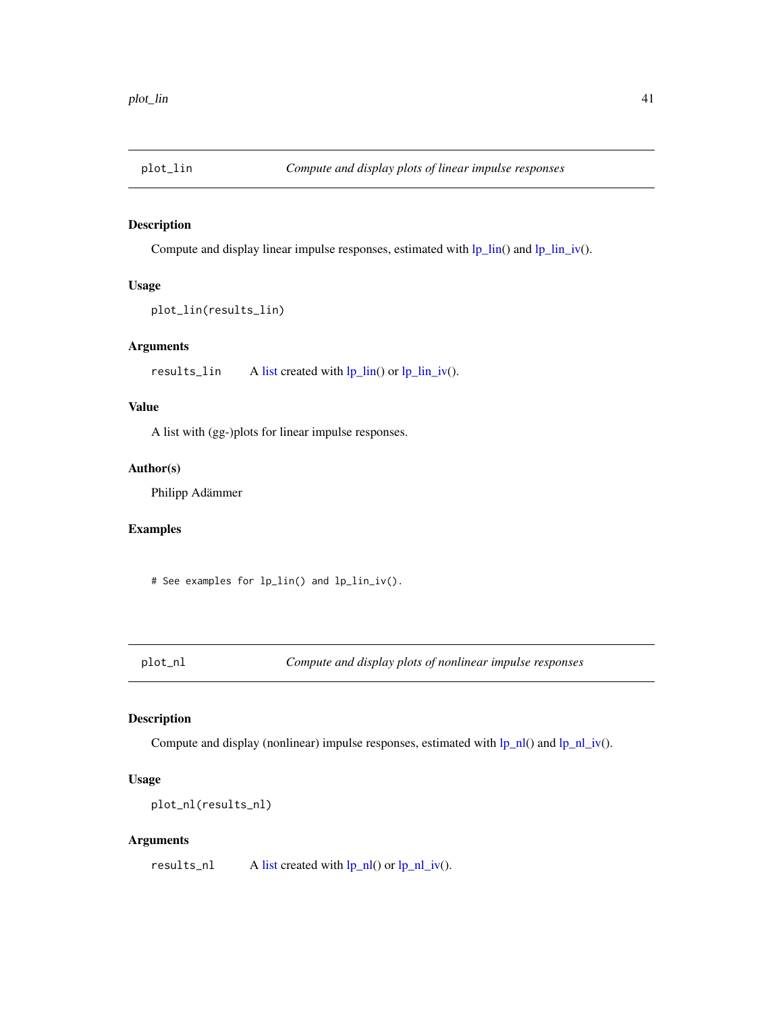<span id="page-40-0"></span>

### Description

Compute and display linear impulse responses, estimated with  $lp_{\text{lin}}(t)$  and  $lp_{\text{lin}}/t(t)$ .

### Usage

```
plot_lin(results_lin)
```
### Arguments

results\_lin A [list](#page-0-0) created with [lp\\_lin\(](#page-5-1)) or [lp\\_lin\\_iv\(](#page-9-1)).

### Value

A list with (gg-)plots for linear impulse responses.

### Author(s)

Philipp Adämmer

### Examples

# See examples for lp\_lin() and lp\_lin\_iv().

plot\_nl *Compute and display plots of nonlinear impulse responses*

### Description

Compute and display (nonlinear) impulse responses, estimated with  $lp_n|_0$  and  $lp_n|_iv()$ .

### Usage

```
plot_nl(results_nl)
```
### Arguments

results\_nl  $\qquad$  A [list](#page-0-0) created with  $lp_n|$  or  $lp_n|$ \_iv().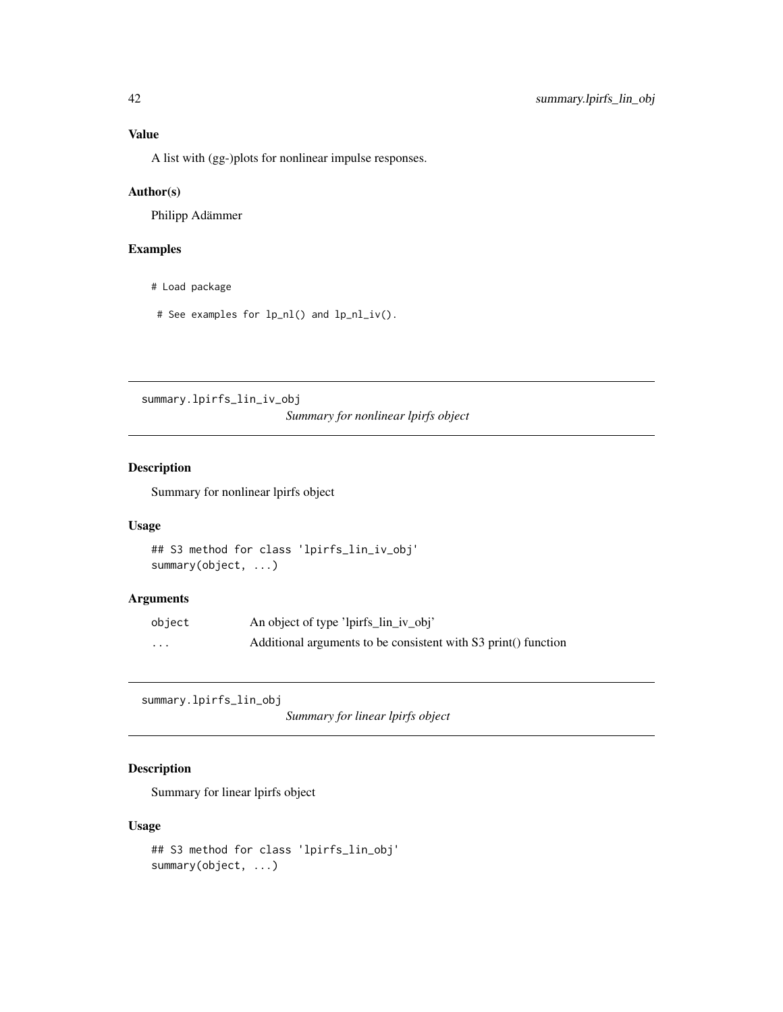A list with (gg-)plots for nonlinear impulse responses.

### Author(s)

Philipp Adämmer

### Examples

- # Load package
- # See examples for lp\_nl() and lp\_nl\_iv().

summary.lpirfs\_lin\_iv\_obj *Summary for nonlinear lpirfs object*

### Description

Summary for nonlinear lpirfs object

### Usage

```
## S3 method for class 'lpirfs_lin_iv_obj'
summary(object, ...)
```
### Arguments

| object | An object of type 'lpirfs_lin_iv_obj'                          |
|--------|----------------------------------------------------------------|
| .      | Additional arguments to be consistent with S3 print() function |

summary.lpirfs\_lin\_obj

*Summary for linear lpirfs object*

### Description

Summary for linear lpirfs object

### Usage

```
## S3 method for class 'lpirfs_lin_obj'
summary(object, ...)
```
<span id="page-41-0"></span>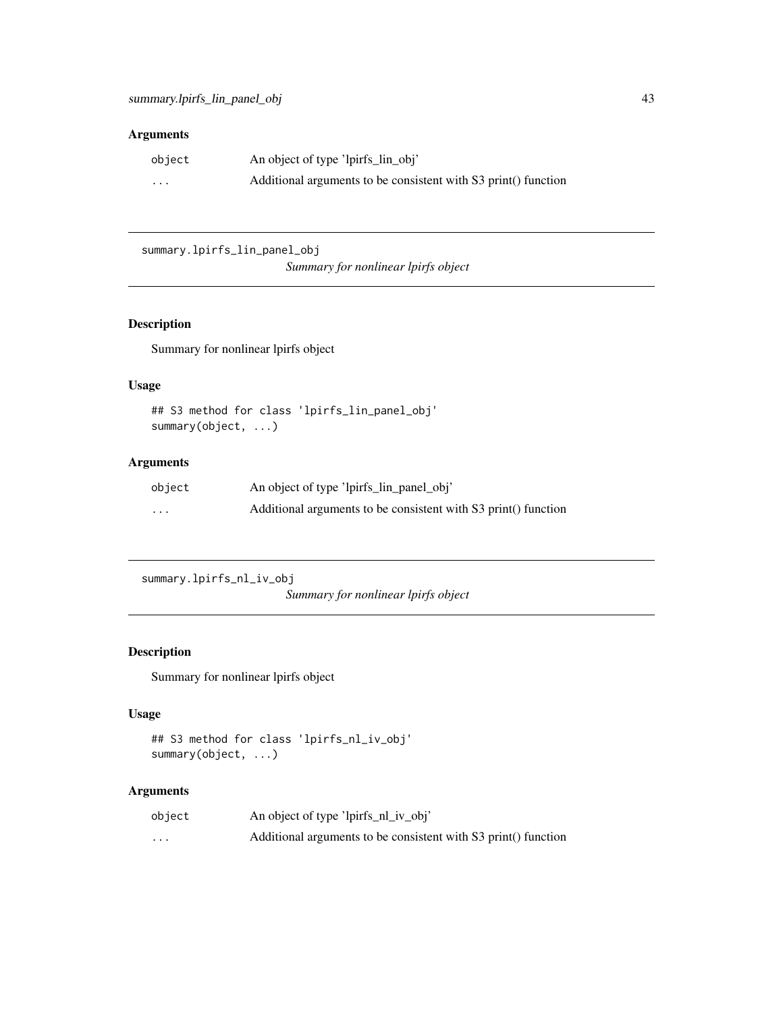### <span id="page-42-0"></span>Arguments

| object   | An object of type 'lpirfs_lin_obj'                             |
|----------|----------------------------------------------------------------|
| $\cdots$ | Additional arguments to be consistent with S3 print() function |

summary.lpirfs\_lin\_panel\_obj

*Summary for nonlinear lpirfs object*

### Description

Summary for nonlinear lpirfs object

### Usage

```
## S3 method for class 'lpirfs_lin_panel_obj'
summary(object, ...)
```
### Arguments

| object   | An object of type 'lpirfs_lin_panel_obj'                       |
|----------|----------------------------------------------------------------|
| $\cdots$ | Additional arguments to be consistent with S3 print() function |

summary.lpirfs\_nl\_iv\_obj

*Summary for nonlinear lpirfs object*

### Description

Summary for nonlinear lpirfs object

### Usage

```
## S3 method for class 'lpirfs_nl_iv_obj'
summary(object, ...)
```

| object   | An object of type 'lpirfs_nl_iv_obj'                           |
|----------|----------------------------------------------------------------|
| $\cdots$ | Additional arguments to be consistent with S3 print() function |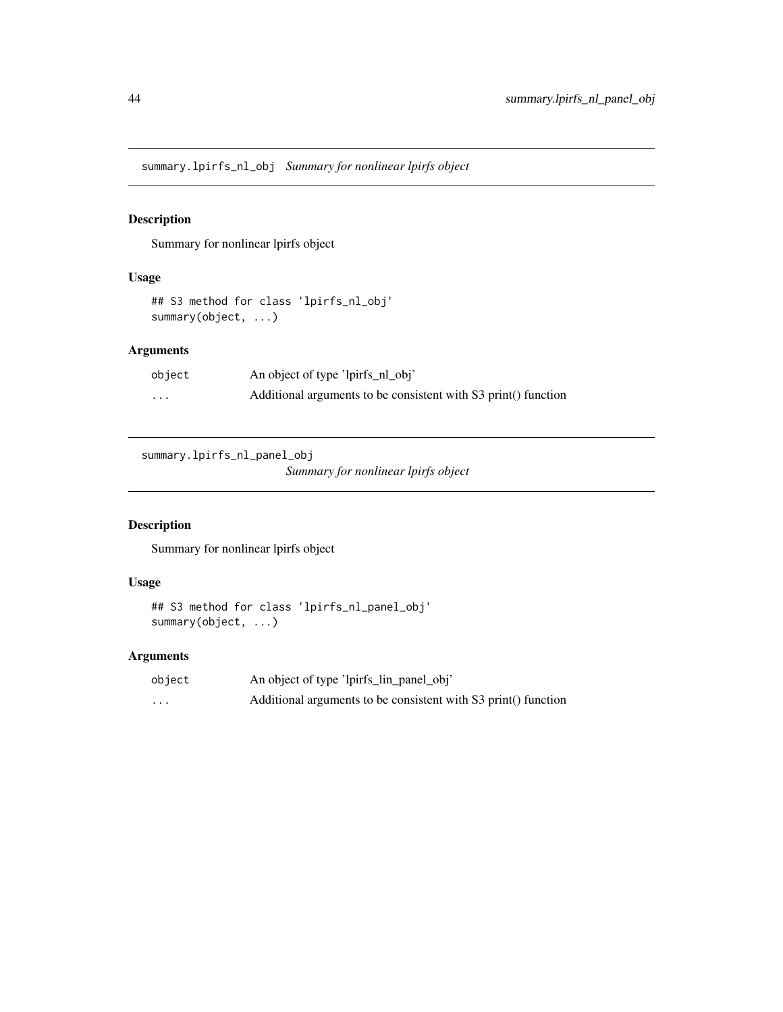<span id="page-43-0"></span>summary.lpirfs\_nl\_obj *Summary for nonlinear lpirfs object*

### Description

Summary for nonlinear lpirfs object

### Usage

```
## S3 method for class 'lpirfs_nl_obj'
summary(object, ...)
```
### Arguments

| object | An object of type 'lpirfs_nl_obj'                              |
|--------|----------------------------------------------------------------|
| .      | Additional arguments to be consistent with S3 print() function |

summary.lpirfs\_nl\_panel\_obj

*Summary for nonlinear lpirfs object*

### Description

Summary for nonlinear lpirfs object

### Usage

```
## S3 method for class 'lpirfs_nl_panel_obj'
summary(object, ...)
```

| object   | An object of type 'lpirfs_lin_panel_obj'                       |
|----------|----------------------------------------------------------------|
| $\cdots$ | Additional arguments to be consistent with S3 print() function |